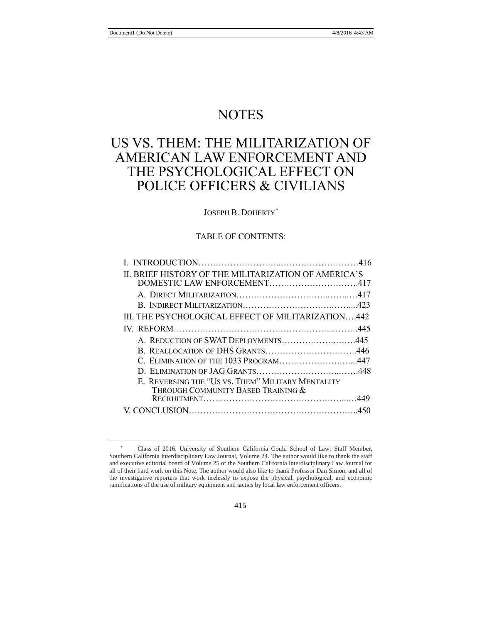$\overline{a}$ 

# **NOTES**

# US VS. THEM: THE MILITARIZATION OF AMERICAN LAW ENFORCEMENT AND THE PSYCHOLOGICAL EFFECT ON POLICE OFFICERS & CIVILIANS

# JOSEPH B. DOHERTY\*

# TABLE OF CONTENTS:

| II. BRIEF HISTORY OF THE MILITARIZATION OF AMERICA'S |  |
|------------------------------------------------------|--|
| DOMESTIC LAW ENFORCEMENT417                          |  |
|                                                      |  |
|                                                      |  |
| III. THE PSYCHOLOGICAL EFFECT OF MILITARIZATION442   |  |
|                                                      |  |
| A. REDUCTION OF SWAT DEPLOYMENTS445                  |  |
|                                                      |  |
| C. ELIMINATION OF THE 1033 PROGRAM447                |  |
|                                                      |  |
| E. REVERSING THE "US VS. THEM" MILITARY MENTALITY    |  |
| THROUGH COMMUNITY BASED TRAINING &                   |  |
|                                                      |  |
|                                                      |  |
|                                                      |  |

<sup>\*</sup> Class of 2016, University of Southern California Gould School of Law; Staff Member, Southern California Interdisciplinary Law Journal, Volume 24. The author would like to thank the staff and executive editorial board of Volume 25 of the Southern California Interdisciplinary Law Journal for all of their hard work on this Note. The author would also like to thank Professor Dan Simon, and all of the investigative reporters that work tirelessly to expose the physical, psychological, and economic ramifications of the use of military equipment and tactics by local law enforcement officers.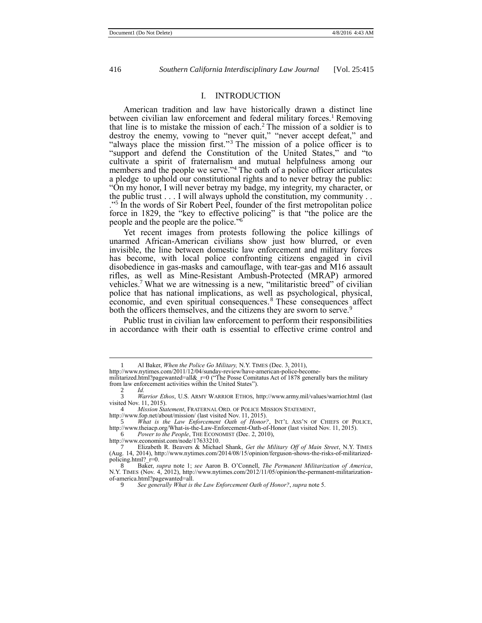# <span id="page-1-1"></span>I. INTRODUCTION

American tradition and law have historically drawn a distinct line between civilian law enforcement and federal military forces.<sup>1</sup> Removing that line is to mistake the mission of each.<sup>2</sup> The mission of a soldier is to destroy the enemy, vowing to "never quit," "never accept defeat," and "always place the mission first." <sup>3</sup> The mission of a police officer is to "support and defend the Constitution of the United States," and "to cultivate a spirit of fraternalism and mutual helpfulness among our members and the people we serve."<sup>4</sup> The oath of a police officer articulates a pledge to uphold our constitutional rights and to never betray the public: "On my honor, I will never betray my badge, my integrity, my character, or the public trust . . . I will always uphold the constitution, my community . . ." 5 In the words of Sir Robert Peel, founder of the first metropolitan police force in 1829, the "key to effective policing" is that "the police are the people and the people are the police." 6

<span id="page-1-0"></span>Yet recent images from protests following the police killings of unarmed African-American civilians show just how blurred, or even invisible, the line between domestic law enforcement and military forces has become, with local police confronting citizens engaged in civil disobedience in gas-masks and camouflage, with tear-gas and M16 assault rifles, as well as Mine-Resistant Ambush-Protected (MRAP) armored vehicles. <sup>7</sup> What we are witnessing is a new, "militaristic breed" of civilian police that has national implications, as well as psychological, physical, economic, and even spiritual consequences. <sup>8</sup> These consequences affect both the officers themselves, and the citizens they are sworn to serve.<sup>9</sup>

Public trust in civilian law enforcement to perform their responsibilities in accordance with their oath is essential to effective crime control and

<sup>1</sup> Al Baker, *When the Police Go Military,* N.Y. TIMES (Dec. 3, 2011),

http://www.nytimes.com/2011/12/04/sunday-review/have-american-police-become-

militarized.html?pagewanted=all& $r=0$  ("The Posse Comitatus Act of 1878 generally bars the military from law enforcement activities within the United States").

 $\frac{2}{3}$  *Id.* 

<sup>3</sup> *Warrior Ethos*, U.S. ARMY WARRIOR ETHOS, http://www.army.mil/values/warrior.html (last visited Nov. 11, 2015).<br>4 *Mission Sta* 

*Mission Statement*, FRATERNAL ORD. OF POLICE MISSION STATEMENT,

http://www.fop.net/about/mission/ (last visited Nov. 11, 2015).

<sup>5</sup> *What is the Law Enforcement Oath of Honor?*, INT'L ASS'N OF CHIEFS OF POLICE, http://www.theiacp.org/What-is-the-Law-Enforcement-Oath-of-Honor (last visited Nov. 11, 2015).<br>6 Power to the People THE ECONOMIST (Dec. 2, 2010) *Power to the People*, THE ECONOMIST (Dec. 2, 2010),

http://www.economist.com/node/17633210.

<sup>7</sup> Elizabeth R. Beavers & Michael Shank, *Get the Military Off of Main Street*, N.Y. TIMES (Aug. 14, 2014), http://www.nytimes.com/2014/08/15/opinion/ferguson-shows-the-risks-of-militarizedpolicing.html?\_r=0.

<sup>8</sup> Baker, *supra* note 1; *see* Aaron B. O'Connell, *The Permanent Militarization of America*, N.Y. TIMES (Nov. 4, 2012), http://www.nytimes.com/2012/11/05/opinion/the-permanent-militarizationof-america.html?pagewanted=all.

<sup>9</sup> *See generally What is the Law Enforcement Oath of Honor?*, *supra* not[e 5.](#page-1-0)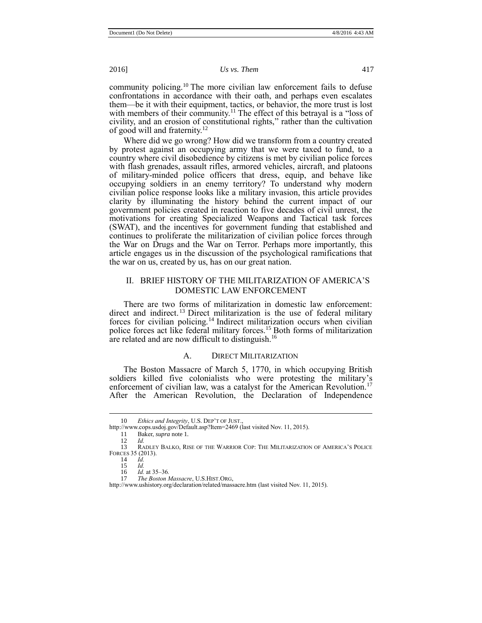community policing.<sup>10</sup> The more civilian law enforcement fails to defuse confrontations in accordance with their oath, and perhaps even escalates them—be it with their equipment, tactics, or behavior, the more trust is lost with members of their community.<sup>11</sup> The effect of this betrayal is a "loss of civility, and an erosion of constitutional rights," rather than the cultivation of good will and fraternity.<sup>12</sup>

Where did we go wrong? How did we transform from a country created by protest against an occupying army that we were taxed to fund, to a country where civil disobedience by citizens is met by civilian police forces with flash grenades, assault rifles, armored vehicles, aircraft, and platoons of military-minded police officers that dress, equip, and behave like occupying soldiers in an enemy territory? To understand why modern civilian police response looks like a military invasion, this article provides clarity by illuminating the history behind the current impact of our government policies created in reaction to five decades of civil unrest, the motivations for creating Specialized Weapons and Tactical task forces (SWAT), and the incentives for government funding that established and continues to proliferate the militarization of civilian police forces through the War on Drugs and the War on Terror. Perhaps more importantly, this article engages us in the discussion of the psychological ramifications that the war on us, created by us, has on our great nation.

# II. BRIEF HISTORY OF THE MILITARIZATION OF AMERICA'S DOMESTIC LAW ENFORCEMENT

There are two forms of militarization in domestic law enforcement: direct and indirect.<sup>13</sup> Direct militarization is the use of federal military forces for civilian policing.<sup>14</sup> Indirect militarization occurs when civilian police forces act like federal military forces.<sup>15</sup> Both forms of militarization are related and are now difficult to distinguish.<sup>16</sup>

# <span id="page-2-0"></span>A. DIRECT MILITARIZATION

The Boston Massacre of March 5, 1770, in which occupying British soldiers killed five colonialists who were protesting the military's enforcement of civilian law, was a catalyst for the American Revolution.<sup>17</sup> After the American Revolution, the Declaration of Independence

<sup>10</sup> *Ethics and Integrity*, U.S. DEP'T OF JUST., http://www.cops.usdoj.gov/Default.asp?Item=2469 (last visited Nov. 11, 2015).

<sup>11</sup> Baker, *supra* note 1*.*

<sup>12</sup> *Id.* 13 RADLEY BALKO, RISE OF THE WARRIOR COP: THE MILITARIZATION OF AMERICA'S POLICE FORCES 35 (2013).

<sup>14</sup> *Id.* 15 *Id.*

<sup>16</sup> *Id.* at 35–36*.*

<sup>17</sup> *The Boston Massacre*, U.S.HIST.ORG,

http://www.ushistory.org/declaration/related/massacre.htm (last visited Nov. 11, 2015).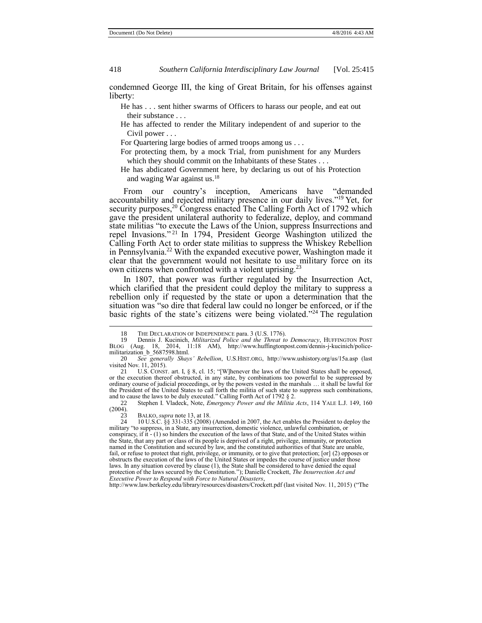condemned George III, the king of Great Britain, for his offenses against liberty:

He has . . . sent hither swarms of Officers to harass our people, and eat out their substance . . .

He has affected to render the Military independent of and superior to the Civil power . . .

For Quartering large bodies of armed troops among us . . .

For protecting them, by a mock Trial, from punishment for any Murders which they should commit on the Inhabitants of these States . . .

He has abdicated Government here, by declaring us out of his Protection and waging War against us.<sup>18</sup>

From our country's inception, Americans have "demanded accountability and rejected military presence in our daily lives." <sup>19</sup> Yet, for security purposes,<sup>20</sup> Congress enacted The Calling Forth Act of 1792 which gave the president unilateral authority to federalize, deploy, and command state militias "to execute the Laws of the Union, suppress Insurrections and repel Invasions." <sup>21</sup> In 1794, President George Washington utilized the Calling Forth Act to order state militias to suppress the Whiskey Rebellion in Pennsylvania.<sup>22</sup> With the expanded executive power, Washington made it clear that the government would not hesitate to use military force on its own citizens when confronted with a violent uprising.<sup>23</sup>

In 1807, that power was further regulated by the Insurrection Act, which clarified that the president could deploy the military to suppress a rebellion only if requested by the state or upon a determination that the situation was "so dire that federal law could no longer be enforced, or if the basic rights of the state's citizens were being violated." <sup>24</sup> The regulation

22 Stephen I. Vladeck, Note, *Emergency Power and the Militia Acts*, 114 YALE L.J. 149, 160  $(2004)$ .<br>23

23 BALKO, *supra* not[e 13,](#page-2-0) at 18<br>24 10 U.S.C. 88 331-335 (2008)

 $\overline{a}$ 

24 10 U.S.C. §§ 331-335 (2008) (Amended in 2007, the Act enables the President to deploy the military "to suppress, in a State, any insurrection, domestic violence, unlawful combination, or conspiracy, if it - (1) so hinders the execution of the laws of that State, and of the United States within the State, that any part or class of its people is deprived of a right, privilege, immunity, or protection named in the Constitution and secured by law, and the constituted authorities of that State are unable, fail, or refuse to protect that right, privilege, or immunity, or to give that protection; [or] (2) opposes or obstructs the execution of the laws of the United States or impedes the course of justice under those laws. In any situation covered by clause (1), the State shall be considered to have denied the equal protection of the laws secured by the Constitution."); Danielle Crockett, *The Insurrection Act and Executive Power to Respond with Force to Natural Disasters*,

http://www.law.berkeley.edu/library/resources/disasters/Crockett.pdf (last visited Nov. 11, 2015) ("The

<sup>18</sup> THE DECLARATION OF INDEPENDENCE para. 3 (U.S. 1776).

<sup>19</sup> Dennis J. Kucinich, *Militarized Police and the Threat to Democracy*, HUFFINGTON POST BLOG (Aug. 18, 2014, 11:18 AM), http://www.huffingtonpost.com/dennis-j-kucinich/policemilitarization\_b\_5687598.html.

<sup>20</sup> *See generally Shays' Rebellion*, U.S.HIST.ORG, http://www.ushistory.org/us/15a.asp (last visited Nov. 11, 2015).

<sup>21</sup> U.S. CONST. art. I, § 8, cl. 15; "[W]henever the laws of the United States shall be opposed, or the execution thereof obstructed, in any state, by combinations too powerful to be suppressed by ordinary course of judicial proceedings, or by the powers vested in the marshals … it shall be lawful for the President of the United States to call forth the militia of such state to suppress such combinations, and to cause the laws to be duly executed." Calling Forth Act of 1792 § 2.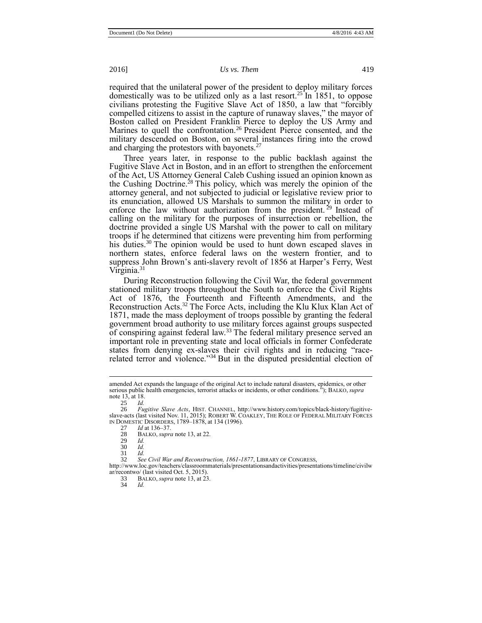required that the unilateral power of the president to deploy military forces domestically was to be utilized only as a last resort.<sup>25</sup> In 1851, to oppose civilians protesting the Fugitive Slave Act of 1850, a law that "forcibly compelled citizens to assist in the capture of runaway slaves," the mayor of Boston called on President Franklin Pierce to deploy the US Army and Marines to quell the confrontation.<sup>26</sup> President Pierce consented, and the military descended on Boston, on several instances firing into the crowd and charging the protestors with bayonets.<sup>27</sup>

Three years later, in response to the public backlash against the Fugitive Slave Act in Boston, and in an effort to strengthen the enforcement of the Act, US Attorney General Caleb Cushing issued an opinion known as the Cushing Doctrine.<sup>28</sup> This policy, which was merely the opinion of the attorney general, and not subjected to judicial or legislative review prior to its enunciation, allowed US Marshals to summon the military in order to enforce the law without authorization from the president.<sup>29</sup> Instead of calling on the military for the purposes of insurrection or rebellion, the doctrine provided a single US Marshal with the power to call on military troops if he determined that citizens were preventing him from performing his duties.<sup>30</sup> The opinion would be used to hunt down escaped slaves in northern states, enforce federal laws on the western frontier, and to suppress John Brown's anti-slavery revolt of 1856 at Harper's Ferry, West Virginia.<sup>31</sup>

During Reconstruction following the Civil War, the federal government stationed military troops throughout the South to enforce the Civil Rights Act of 1876, the Fourteenth and Fifteenth Amendments, and the Reconstruction Acts.<sup>32</sup> The Force Acts, including the Klu Klux Klan Act of 1871, made the mass deployment of troops possible by granting the federal government broad authority to use military forces against groups suspected of conspiring against federal law.<sup>33</sup> The federal military presence served an important role in preventing state and local officials in former Confederate states from denying ex-slaves their civil rights and in reducing "racerelated terror and violence."<sup>34</sup> But in the disputed presidential election of

 $\overline{a}$ 

32 *See Civil War and Reconstruction, 1861-1877*, LIBRARY OF CONGRESS,

34 *Id.*

amended Act expands the language of the original Act to include natural disasters, epidemics, or other serious public health emergencies, terrorist attacks or incidents, or other conditions."); BALKO, *supra* not[e 13,](#page-2-0) at 18.<br>25  $Id$ .

 $\frac{25}{26}$  *Id.* 

<sup>26</sup> *Fugitive Slave Acts*, HIST. CHANNEL, http://www.history.com/topics/black-history/fugitiveslave-acts (last visited Nov. 11, 2015); ROBERT W. COAKLEY, THE ROLE OF FEDERAL MILITARY FORCES IN DOMESTIC DISORDERS, 1789–1878, at 134 (1996).

<sup>27</sup> *Id* at 136–37.

<sup>28</sup> BALKO, *supra* not[e 13,](#page-2-0) at 22.

<sup>29</sup> *Id.* 

<sup>30</sup> *Id.*

<sup>31</sup> *Id.*

http://www.loc.gov/teachers/classroommaterials/presentationsandactivities/presentations/timeline/civilw ar/recontwo/ (last visited Oct. 5, 2015).

<sup>33</sup> BALKO, *supra* not[e 13,](#page-2-0) at 23.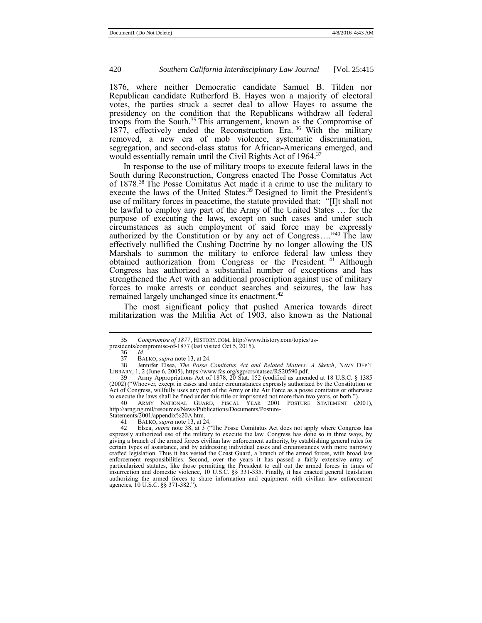1876, where neither Democratic candidate Samuel B. Tilden nor Republican candidate Rutherford B. Hayes won a majority of electoral votes, the parties struck a secret deal to allow Hayes to assume the presidency on the condition that the Republicans withdraw all federal troops from the South.<sup>35</sup> This arrangement, known as the Compromise of 1877, effectively ended the Reconstruction Era. <sup>36</sup> With the military removed, a new era of mob violence, systematic discrimination, segregation, and second-class status for African-Americans emerged, and would essentially remain until the Civil Rights Act of 1964.<sup>37</sup>

<span id="page-5-0"></span>In response to the use of military troops to execute federal laws in the South during Reconstruction, Congress enacted The Posse Comitatus Act of 1878.<sup>38</sup> The Posse Comitatus Act made it a crime to use the military to execute the laws of the United States.<sup>39</sup> Designed to limit the President's use of military forces in peacetime, the statute provided that: "[I]t shall not be lawful to employ any part of the Army of the United States … for the purpose of executing the laws, except on such cases and under such circumstances as such employment of said force may be expressly authorized by the Constitution or by any act of Congress…." <sup>40</sup> The law effectively nullified the Cushing Doctrine by no longer allowing the US Marshals to summon the military to enforce federal law unless they obtained authorization from Congress or the President. <sup>41</sup> Although Congress has authorized a substantial number of exceptions and has strengthened the Act with an additional proscription against use of military forces to make arrests or conduct searches and seizures, the law has remained largely unchanged since its enactment.<sup>42</sup>

<span id="page-5-1"></span>The most significant policy that pushed America towards direct militarization was the Militia Act of 1903, also known as the National

<sup>35</sup> *Compromise of 1877*, HISTORY.COM, http://www.history.com/topics/us-

presidents/compromise-of-1877 (last visited Oct 5, 2015).

<sup>36</sup> *Id.*

<sup>37</sup> BALKO, *supra* not[e 13,](#page-2-0) at 24.

<sup>38</sup> Jennifer Elsea, *The Posse Comitatus Act and Related Matters: A Sketch*, NAVY DEP'T LIBRARY, 1, 2 (June 6, 2005)[, https://www.fas.org/sgp/crs/natsec/RS20590.pdf.](https://www.fas.org/sgp/crs/natsec/RS20590.pdf) 

<sup>39</sup> Army Appropriations Act of 1878, 20 Stat. 152 (codified as amended at 18 U.S.C. § 1385 (2002) ("Whoever, except in cases and under circumstances expressly authorized by the Constitution or Act of Congress, willfully uses any part of the Army or the Air Force as a posse comitatus or otherwise to execute the laws shall be fined under this title or imprisoned not more than two years, or both."). 40 ARMY NATIONAL GUARD, FISCAL YEAR 2001 POSTURE STATEMENT (2001),

http://arng.ng.mil/resources/News/Publications/Documents/Posture-Statements/2001/appendix%20A.htm.

<sup>41</sup> BALKO, *supra* not[e 13,](#page-2-0) at 24.<br>42 Elsea *supra* note 38 at 3 (

Elsea, *supra* note [38,](#page-5-0) at 3 ("The Posse Comitatus Act does not apply where Congress has expressly authorized use of the military to execute the law. Congress has done so in three ways, by giving a branch of the armed forces civilian law enforcement authority, by establishing general rules for certain types of assistance, and by addressing individual cases and circumstances with more narrowly crafted legislation. Thus it has vested the Coast Guard, a branch of the armed forces, with broad law enforcement responsibilities. Second, over the years it has passed a fairly extensive array of particularized statutes, like those permitting the President to call out the armed forces in times of insurrection and domestic violence, 10 U.S.C. §§ 331-335. Finally, it has enacted general legislation authorizing the armed forces to share information and equipment with civilian law enforcement agencies, 10 U.S.C. §§ 371-382.").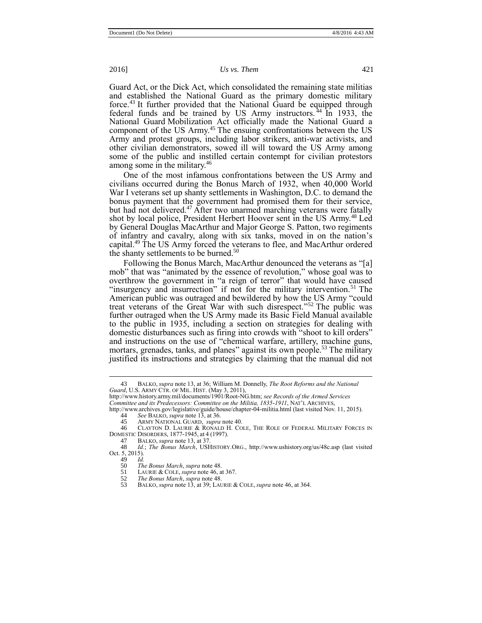Guard Act, or the Dick Act, which consolidated the remaining state militias and established the National Guard as the primary domestic military force.<sup>43</sup> It further provided that the National Guard be equipped through federal funds and be trained by US Army instructors.<sup>44</sup> In 1933, the National Guard Mobilization Act officially made the National Guard a component of the US Army.<sup>45</sup> The ensuing confrontations between the US Army and protest groups, including labor strikers, anti-war activists, and other civilian demonstrators, sowed ill will toward the US Army among some of the public and instilled certain contempt for civilian protestors among some in the military.<sup>46</sup>

<span id="page-6-1"></span>One of the most infamous confrontations between the US Army and civilians occurred during the Bonus March of 1932, when 40,000 World War I veterans set up shanty settlements in Washington, D.C. to demand the bonus payment that the government had promised them for their service, but had not delivered.<sup>47</sup> After two unarmed marching veterans were fatally shot by local police, President Herbert Hoover sent in the US Army.<sup>48</sup> Led by General Douglas MacArthur and Major George S. Patton, two regiments of infantry and cavalry, along with six tanks, moved in on the nation's capital.<sup>49</sup> The US Army forced the veterans to flee, and MacArthur ordered the shanty settlements to be burned.<sup>50</sup>

Following the Bonus March, MacArthur denounced the veterans as "[a] mob" that was "animated by the essence of revolution," whose goal was to overthrow the government in "a reign of terror" that would have caused "insurgency and insurrection" if not for the military intervention.<sup>51</sup> The American public was outraged and bewildered by how the US Army "could treat veterans of the Great War with such disrespect." <sup>52</sup> The public was further outraged when the US Army made its Basic Field Manual available to the public in 1935, including a section on strategies for dealing with domestic disturbances such as firing into crowds with "shoot to kill orders" and instructions on the use of "chemical warfare, artillery, machine guns, mortars, grenades, tanks, and planes" against its own people.<sup>53</sup> The military justified its instructions and strategies by claiming that the manual did not

49 *Id.*

<span id="page-6-0"></span>

<sup>43</sup> BALKO, *supra* not[e 13,](#page-2-0) at 36; William M. Donnelly, *The Root Reforms and the National Guard*, U.S. ARMY CTR. OF MIL. HIST. (May 3, 2011),

[http://www.history.army.mil/documents/1901/Root-NG.htm;](http://www.history.army.mil/documents/1901/Root-NG.htm) *see Records of the Armed Services Committee and its Predecessors: Committee on the Militia, 1835-1911*, NAT'L ARCHIVES,

http://www.archives.gov/legislative/guide/house/chapter-04-militia.html (last visited Nov. 11, 2015).<br>44 See BALKO *supra* note 13 at 36

<sup>44</sup> *See* BALKO, *supra* not[e 13,](#page-2-0) at 36.

<sup>45</sup> ARMY NATIONAL GUARD, *supra* not[e 40.](#page-5-1)

CLAYTON D. LAURIE & RONALD H. COLE, THE ROLE OF FEDERAL MILITARY FORCES IN **DOMESTIC DISORDERS, 1877-1945, at 4 (1997).**<br>47 BALKO *supra* note 13 at 37

<sup>47</sup> BALKO, *supra* not[e 13,](#page-2-0) at 37.

<sup>48</sup> *Id.*; *The Bonus March*, USHISTORY.ORG., http://www.ushistory.org/us/48c.asp (last visited Oct. 5, 2015).

<sup>50</sup> *The Bonus March*, *supra* not[e 48.](#page-6-0)

LAURIE & COLE, *supra* note [46,](#page-6-1) at 367.

<sup>52</sup> *The Bonus March*, *supra* not[e 48.](#page-6-0)

<sup>53</sup> BALKO, *supra* not[e 13,](#page-2-0) at 39; LAURIE & COLE, *supra* not[e 46,](#page-6-1) at 364.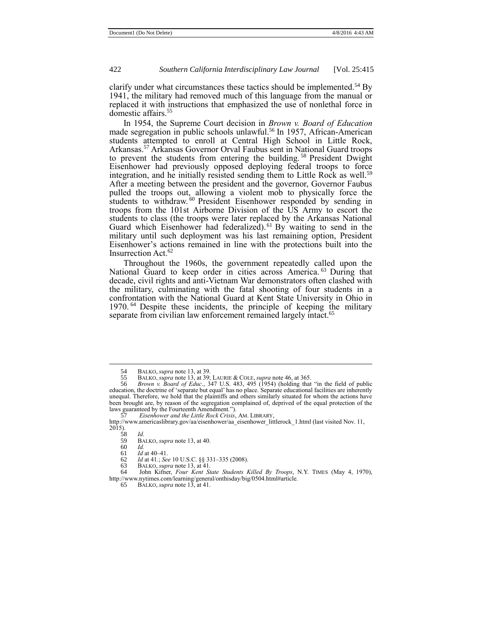clarify under what circumstances these tactics should be implemented.<sup>54</sup> By 1941, the military had removed much of this language from the manual or replaced it with instructions that emphasized the use of nonlethal force in domestic affairs.<sup>55</sup>

In 1954, the Supreme Court decision in *Brown v. Board of Education* made segregation in public schools unlawful. <sup>56</sup> In 1957, African-American students attempted to enroll at Central High School in Little Rock, Arkansas.<sup>57</sup> Arkansas Governor Orval Faubus sent in National Guard troops to prevent the students from entering the building.<sup>58</sup> President Dwight Eisenhower had previously opposed deploying federal troops to force integration, and he initially resisted sending them to Little Rock as well.<sup>59</sup> After a meeting between the president and the governor, Governor Faubus pulled the troops out, allowing a violent mob to physically force the students to withdraw.<sup>60</sup> President Eisenhower responded by sending in troops from the 101st Airborne Division of the US Army to escort the students to class (the troops were later replaced by the Arkansas National Guard which Eisenhower had federalized).<sup>61</sup> By waiting to send in the military until such deployment was his last remaining option, President Eisenhower's actions remained in line with the protections built into the Insurrection Act.<sup>62</sup>

Throughout the 1960s, the government repeatedly called upon the National Guard to keep order in cities across America.<sup>63</sup> During that decade, civil rights and anti-Vietnam War demonstrators often clashed with the military, culminating with the fatal shooting of four students in a confrontation with the National Guard at Kent State University in Ohio in 1970. <sup>64</sup> Despite these incidents, the principle of keeping the military separate from civilian law enforcement remained largely intact.<sup>65</sup>

57 *Eisenhower and the Little Rock Crisis*, AM. LIBRARY,

<sup>54</sup> BALKO, *supra* not[e 13,](#page-2-0) at 39.<br>55 BALKO, *supra* note 13, at 39:

<sup>55</sup> BALKO, *supra* not[e 13,](#page-2-0) at 39; LAURIE & COLE, *supra* not[e 46,](#page-6-1) at 365.

<sup>56</sup> *Brown v. Board of Educ*., 347 U.S. 483, 495 (1954) (holding that "in the field of public education, the doctrine of 'separate but equal' has no place. Separate educational facilities are inherently unequal. Therefore, we hold that the plaintiffs and others similarly situated for whom the actions have been brought are, by reason of the segregation complained of, deprived of the equal protection of the laws guaranteed by the Fourteenth Amendment.").

http://www.americaslibrary.gov/aa/eisenhower/aa\_eisenhower\_littlerock\_1.html (last visited Nov. 11, 2015).

<sup>58</sup> *Id.* 

<sup>59</sup> BALKO, *supra* not[e 13,](#page-2-0) at 40.

<sup>60</sup> *Id.*

*Id* at 40–41.

<sup>62</sup> *Id* at 41*.*; *See* 10 U.S.C. §§ 331–335 (2008). 63 BALKO, *supra* not[e 13,](#page-2-0) at 41.

<sup>64</sup> John Kifner, *Four Kent State Students Killed By Troops*, N.Y. TIMES (May 4, 1970), http://www.nytimes.com/learning/general/onthisday/big/0504.html#article. 65 BALKO, *supra* not[e 13,](#page-2-0) at 41.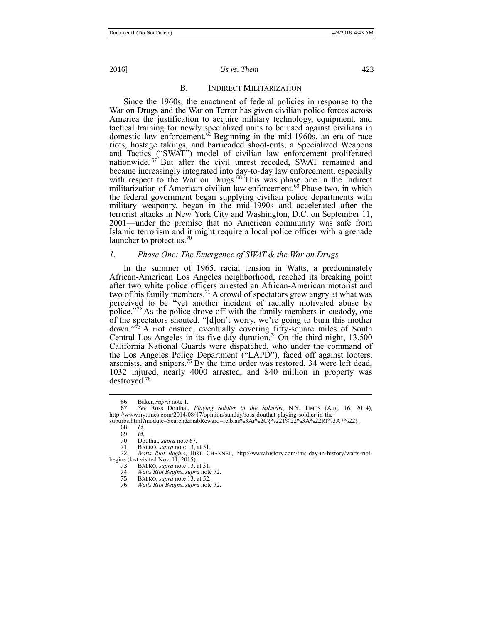#### B. INDIRECT MILITARIZATION

<span id="page-8-0"></span>Since the 1960s, the enactment of federal policies in response to the War on Drugs and the War on Terror has given civilian police forces across America the justification to acquire military technology, equipment, and tactical training for newly specialized units to be used against civilians in domestic law enforcement.<sup>66</sup> Beginning in the mid-1960s, an era of race riots, hostage takings, and barricaded shoot-outs, a Specialized Weapons and Tactics ("SWAT") model of civilian law enforcement proliferated nationwide. <sup>67</sup> But after the civil unrest receded, SWAT remained and became increasingly integrated into day-to-day law enforcement, especially with respect to the War on Drugs.<sup>68</sup> This was phase one in the indirect militarization of American civilian law enforcement.<sup>69</sup> Phase two, in which the federal government began supplying civilian police departments with military weaponry, began in the mid-1990s and accelerated after the terrorist attacks in New York City and Washington, D.C. on September 11, 2001—under the premise that no American community was safe from Islamic terrorism and it might require a local police officer with a grenade launcher to protect us.<sup>70</sup>

# *1. Phase One: The Emergence of SWAT & the War on Drugs*

<span id="page-8-1"></span>In the summer of 1965, racial tension in Watts, a predominately African-American Los Angeles neighborhood, reached its breaking point after two white police officers arrested an African-American motorist and two of his family members.<sup>71</sup> A crowd of spectators grew angry at what was perceived to be "yet another incident of racially motivated abuse by police."<sup>72</sup> As the police drove off with the family members in custody, one of the spectators shouted, "[d]on't worry, we're going to burn this mother down." <sup>73</sup> A riot ensued, eventually covering fifty-square miles of South Central Los Angeles in its five-day duration.<sup>74</sup> On the third night,  $13,500$ California National Guards were dispatched, who under the command of the Los Angeles Police Department ("LAPD"), faced off against looters, arsonists, and snipers.<sup>75</sup> By the time order was restored, 34 were left dead, 1032 injured, nearly 4000 arrested, and \$40 million in property was destroyed.<sup>76</sup>

<sup>66</sup> Baker, *supra* note [1](#page-1-1)*.*

<sup>67</sup> *See* Ross Douthat, *Playing Soldier in the Suburbs*, N.Y. TIMES (Aug. 16, 2014), http://www.nytimes.com/2014/08/17/opinion/sunday/ross-douthat-playing-soldier-in-the-

suburbs.html?module=Search&mabReward=relbias%3Ar%2C{%221%22%3A%22RI%3A7%22}.<br>68  $Id$ 

<sup>68</sup> *Id.*

<sup>69</sup> *Id.*

<sup>70</sup> Douthat, *supra* not[e 67](#page-8-0).<br>71 BALKO, *supra* note 13, a 71 BALKO, *supra* not[e 13,](#page-2-0) at 51.<br>72 Watts Riot Begins HIST CI

<sup>72</sup> *Watts Riot Begins*, HIST. CHANNEL, http://www.history.com/this-day-in-history/watts-riotbegins (last visited Nov. 11, 2015).<br>73 BALKO, *supra* not[e 13,](#page-2-0) at 51.

<sup>74</sup> *Watts Riot Begins*, *supra* not[e 72.](#page-8-1)

<sup>75</sup> BALKO, *supra* not[e 13,](#page-2-0) at 52.

<sup>76</sup> *Watts Riot Begins*, *supra* not[e 72.](#page-8-1)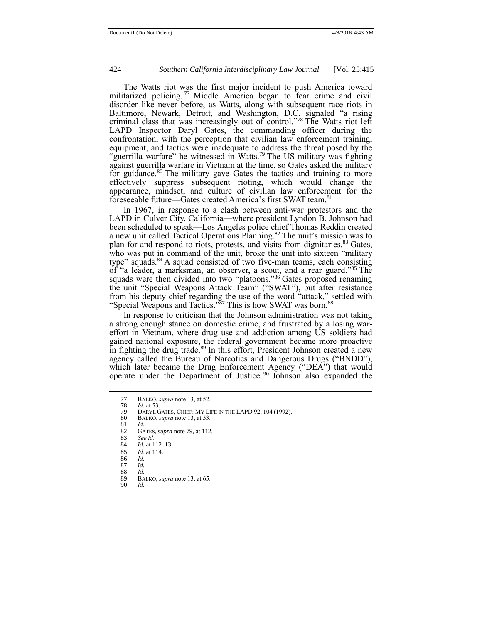The Watts riot was the first major incident to push America toward militarized policing.<sup>77</sup> Middle America began to fear crime and civil disorder like never before, as Watts, along with subsequent race riots in Baltimore, Newark, Detroit, and Washington, D.C. signaled "a rising criminal class that was increasingly out of control." <sup>78</sup> The Watts riot left LAPD Inspector Daryl Gates, the commanding officer during the confrontation, with the perception that civilian law enforcement training, equipment, and tactics were inadequate to address the threat posed by the "guerrilla warfare" he witnessed in Watts.<sup>79</sup> The US military was fighting against guerrilla warfare in Vietnam at the time, so Gates asked the military for guidance.<sup>80</sup> The military gave Gates the tactics and training to more effectively suppress subsequent rioting, which would change the appearance, mindset, and culture of civilian law enforcement for the foreseeable future—Gates created America's first SWAT team.<sup>81</sup>

<span id="page-9-0"></span>In 1967, in response to a clash between anti-war protestors and the LAPD in Culver City, California—where president Lyndon B. Johnson had been scheduled to speak—Los Angeles police chief Thomas Reddin created a new unit called Tactical Operations Planning.<sup>82</sup> The unit's mission was to plan for and respond to riots, protests, and visits from dignitaries.<sup>83</sup> Gates, who was put in command of the unit, broke the unit into sixteen "military" type" squads.<sup>84</sup> A squad consisted of two five-man teams, each consisting of "a leader, a marksman, an observer, a scout, and a rear guard." <sup>85</sup> The squads were then divided into two "platoons."<sup>86</sup> Gates proposed renaming the unit "Special Weapons Attack Team" ("SWAT"), but after resistance from his deputy chief regarding the use of the word "attack," settled with "Special Weapons and Tactics."<sup>87</sup> This is how SWAT was born.<sup>88</sup>

In response to criticism that the Johnson administration was not taking a strong enough stance on domestic crime, and frustrated by a losing wareffort in Vietnam, where drug use and addiction among US soldiers had gained national exposure, the federal government became more proactive in fighting the drug trade.<sup>89</sup> In this effort, President Johnson created a new agency called the Bureau of Narcotics and Dangerous Drugs ("BNDD"), which later became the Drug Enforcement Agency ("DEA") that would operate under the Department of Justice.<sup>90</sup> Johnson also expanded the

- 87 *Id.* 88 *Id.*
- 

<sup>77</sup> BALKO, *supra* not[e 13,](#page-2-0) at 52.

<sup>78</sup> *Id.* at 53.

<sup>79</sup> DARYL GATES, CHIEF: MY LIFE IN THE LAPD 92, 104 (1992).<br>80 BALKO. *supra* note 13. at 53.

<sup>80</sup> BALKO, *supra* not[e 13,](#page-2-0) at 53.

<sup>81</sup> *Id.*

<sup>82</sup> GATES, *supra* not[e 79,](#page-9-0) at 112.

<sup>83</sup> *See id*. *Id.* at 112–13.

<sup>85</sup> *Id.* at 114.

<sup>86</sup> *Id.*

<sup>89</sup> BALKO, *supra* not[e 13,](#page-2-0) at 65. 90 *Id.*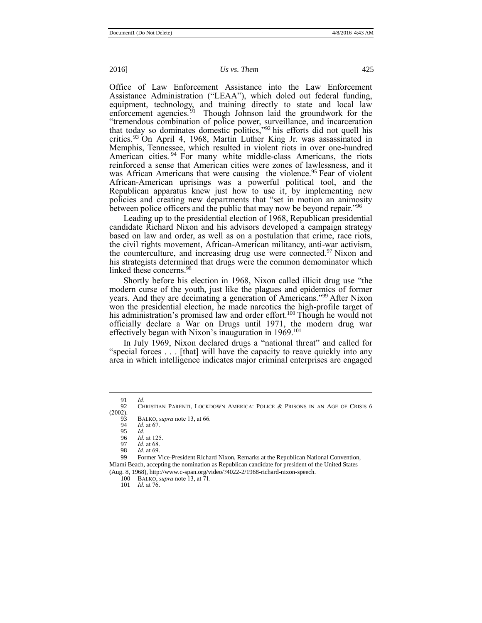Office of Law Enforcement Assistance into the Law Enforcement Assistance Administration ("LEAA"), which doled out federal funding, equipment, technology, and training directly to state and local law enforcement agencies.<sup>91</sup> Though Johnson laid the groundwork for the "tremendous combination of police power, surveillance, and incarceration that today so dominates domestic politics," <sup>92</sup> his efforts did not quell his critics.<sup>93</sup> On April 4, 1968, Martin Luther King Jr. was assassinated in Memphis, Tennessee, which resulted in violent riots in over one-hundred American cities.<sup>94</sup> For many white middle-class Americans, the riots reinforced a sense that American cities were zones of lawlessness, and it was African Americans that were causing the violence.<sup>95</sup> Fear of violent African-American uprisings was a powerful political tool, and the Republican apparatus knew just how to use it, by implementing new policies and creating new departments that "set in motion an animosity between police officers and the public that may now be beyond repair."<sup>96</sup>

Leading up to the presidential election of 1968, Republican presidential candidate Richard Nixon and his advisors developed a campaign strategy based on law and order, as well as on a postulation that crime, race riots, the civil rights movement, African-American militancy, anti-war activism, the counterculture, and increasing drug use were connected. $97$  Nixon and his strategists determined that drugs were the common demominator which linked these concerns. 98

Shortly before his election in 1968, Nixon called illicit drug use "the modern curse of the youth, just like the plagues and epidemics of former years. And they are decimating a generation of Americans."<sup>99</sup> After Nixon won the presidential election, he made narcotics the high-profile target of his administration's promised law and order effort.<sup>100</sup> Though he would not officially declare a War on Drugs until 1971, the modern drug war effectively began with Nixon's inauguration in 1969.<sup>101</sup>

In July 1969, Nixon declared drugs a "national threat" and called for "special forces . . . [that] will have the capacity to reave quickly into any area in which intelligence indicates major criminal enterprises are engaged

 $\overline{a}$ 

101 *Id.* at 76.

<span id="page-10-0"></span>

<sup>91</sup> *Id.*

CHRISTIAN PARENTI, LOCKDOWN AMERICA: POLICE & PRISONS IN AN AGE OF CRISIS 6  $(2002)$ .

<sup>93</sup> BALKO, *supra* not[e 13,](#page-2-0) at 66.<br>94 *Id* at 67

<sup>94</sup> *Id.* at 67.

<sup>95</sup> *Id.*

<sup>96</sup> *Id.* at 125.

<sup>97</sup> *Id.* at 68.

<sup>98</sup> *Id.* at 69. 99 Former Vice-President Richard Nixon, Remarks at the Republican National Convention,

Miami Beach, accepting the nomination as Republican candidate for president of the United States (Aug. 8, 1968), http://www.c-span.org/video/?4022-2/1968-richard-nixon-speech.

<sup>100</sup> BALKO, *supra* not[e 13,](#page-2-0) at 71.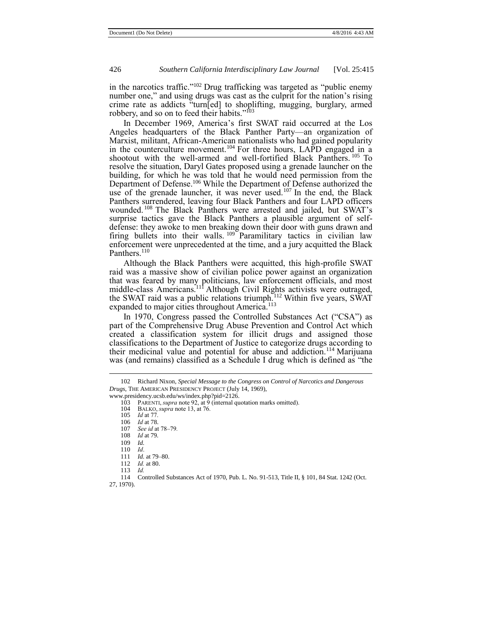in the narcotics traffic." <sup>102</sup> Drug trafficking was targeted as "public enemy number one," and using drugs was cast as the culprit for the nation's rising crime rate as addicts "turn[ed] to shoplifting, mugging, burglary, armed robbery, and so on to feed their habits." 103

In December 1969, America's first SWAT raid occurred at the Los Angeles headquarters of the Black Panther Party—an organization of Marxist, militant, African-American nationalists who had gained popularity in the counterculture movement.<sup>104</sup> For three hours, LAPD engaged in a shootout with the well-armed and well-fortified Black Panthers. <sup>105</sup> To resolve the situation, Daryl Gates proposed using a grenade launcher on the building, for which he was told that he would need permission from the Department of Defense.<sup>106</sup> While the Department of Defense authorized the use of the grenade launcher, it was never used.<sup>107</sup> In the end, the Black Panthers surrendered, leaving four Black Panthers and four LAPD officers wounded.<sup>108</sup> The Black Panthers were arrested and jailed, but SWAT's surprise tactics gave the Black Panthers a plausible argument of selfdefense: they awoke to men breaking down their door with guns drawn and firing bullets into their walls. <sup>109</sup> Paramilitary tactics in civilian law enforcement were unprecedented at the time, and a jury acquitted the Black Panthers.<sup>110</sup>

Although the Black Panthers were acquitted, this high-profile SWAT raid was a massive show of civilian police power against an organization that was feared by many politicians, law enforcement officials, and most middle-class Americans.<sup>111</sup> Although Civil Rights activists were outraged, the SWAT raid was a public relations triumph.<sup>112</sup> Within five years, SWAT expanded to major cities throughout America.<sup>113</sup>

In 1970, Congress passed the Controlled Substances Act ("CSA") as part of the Comprehensive Drug Abuse Prevention and Control Act which created a classification system for illicit drugs and assigned those classifications to the Department of Justice to categorize drugs according to their medicinal value and potential for abuse and addiction.<sup>114</sup> Marijuana was (and remains) classified as a Schedule I drug which is defined as "the

<sup>102</sup> Richard Nixon, *Special Message to the Congress on Control of Narcotics and Dangerous Drugs*, THE AMERICAN PRESIDENCY PROJECT (July 14, 1969),

www.presidency.ucsb.edu/ws/index.php?pid=2126.

<sup>103</sup> PARENTI, *supra* not[e 92,](#page-10-0) at 9 (internal quotation marks omitted).

<sup>104</sup> BALKO, *supra* not[e 13,](#page-2-0) at 76.

*Id at 77* 

<sup>106</sup> *Id* at 78.

<sup>107</sup> *See id* at 78–79*.*

<sup>108</sup> *Id* at 79.

<sup>109</sup> *Id.*

<sup>110</sup> *Id*.

<sup>111</sup> *Id.* at 79–80.

<sup>112</sup> *Id.* at 80.

<sup>113</sup> *Id.*

<sup>114</sup> Controlled Substances Act of 1970, Pub. L. No. 91-513, Title II, § 101, 84 Stat. 1242 (Oct.

<sup>27, 1970).</sup>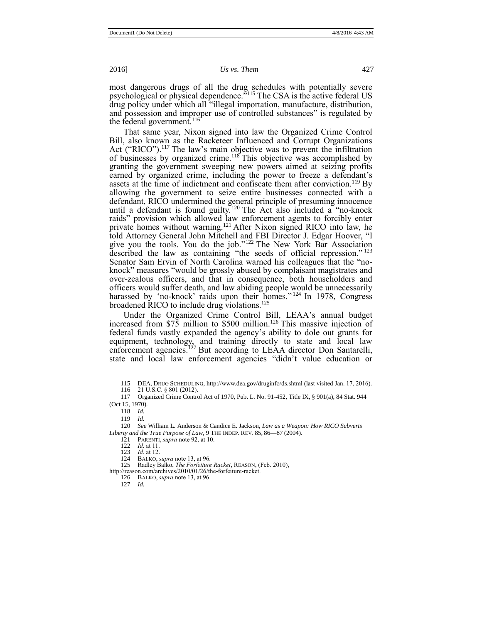most dangerous drugs of all the drug schedules with potentially severe psychological or physical dependence." <sup>115</sup> The CSA is the active federal US drug policy under which all "illegal importation, manufacture, distribution, and possession and improper use of controlled substances" is regulated by the federal government.<sup>116</sup>

That same year, Nixon signed into law the Organized Crime Control Bill, also known as the Racketeer Influenced and Corrupt Organizations Act ("RICO").<sup>117</sup> The law's main objective was to prevent the infiltration of businesses by organized crime.<sup>118</sup> This objective was accomplished by granting the government sweeping new powers aimed at seizing profits earned by organized crime, including the power to freeze a defendant's assets at the time of indictment and confiscate them after conviction.<sup>119</sup> By allowing the government to seize entire businesses connected with a defendant, RICO undermined the general principle of presuming innocence until a defendant is found guilty.<sup>120</sup> The Act also included a "no-knock" raids" provision which allowed law enforcement agents to forcibly enter private homes without warning.<sup>121</sup> After Nixon signed RICO into law, he told Attorney General John Mitchell and FBI Director J. Edgar Hoover, "I give you the tools. You do the job." <sup>122</sup> The New York Bar Association described the law as containing "the seeds of official repression." 123 Senator Sam Ervin of North Carolina warned his colleagues that the "noknock" measures "would be grossly abused by complaisant magistrates and over-zealous officers, and that in consequence, both householders and officers would suffer death, and law abiding people would be unnecessarily harassed by 'no-knock' raids upon their homes."<sup>124</sup> In 1978, Congress broadened RICO to include drug violations.<sup>125</sup>

Under the Organized Crime Control Bill, LEAA's annual budget increased from  $\frac{$75}{$7}$  million to \$500 million.<sup>126</sup> This massive injection of federal funds vastly expanded the agency's ability to dole out grants for equipment, technology, and training directly to state and local law enforcement agencies.<sup>127</sup> But according to LEAA director Don Santarelli, state and local law enforcement agencies "didn't value education or

<sup>115</sup> DEA, DRUG SCHEDULING, http://www.dea.gov/druginfo/ds.shtml (last visited Jan. 17, 2016). 116 21 U.S.C. § 801 (2012).

<sup>117</sup> Organized Crime Control Act of 1970, Pub. L. No. 91-452, Title IX, § 901(a), 84 Stat. 944 (Oct 15, 1970).

<sup>118</sup> *Id.*

<sup>119</sup> *Id.*

<sup>120</sup> *See* William L. Anderson & Candice E. Jackson, *Law as a Weapon: How RICO Subverts Liberty and the True Purpose of Law*, 9 THE INDEP. REV. 85, 86—87 (2004).

<sup>121</sup> PARENTI, *supra* not[e 92,](#page-10-0) at 10.

<sup>122</sup> *Id.* at 11.

<sup>123</sup> *Id.* at 12.

<sup>124</sup> BALKO, *supra* not[e 13,](#page-2-0) at 96.

<sup>125</sup> Radley Balko, *The Forfeiture Racket*, REASON, (Feb. 2010),

http://reason.com/archives/2010/01/26/the-forfeiture-racket.

<sup>126</sup> BALKO, *supra* not[e 13,](#page-2-0) at 96.

<sup>127</sup> *Id.*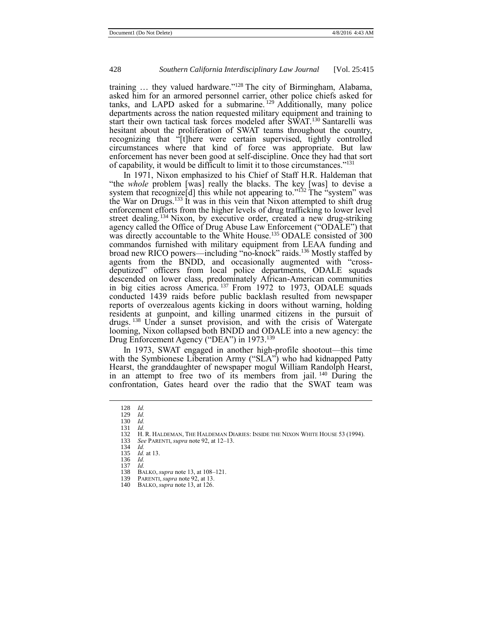training … they valued hardware." <sup>128</sup> The city of Birmingham, Alabama, asked him for an armored personnel carrier, other police chiefs asked for tanks, and LAPD asked for a submarine.<sup>129</sup> Additionally, many police departments across the nation requested military equipment and training to start their own tactical task forces modeled after SWAT.<sup>130</sup> Santarelli was hesitant about the proliferation of SWAT teams throughout the country, recognizing that "[t]here were certain supervised, tightly controlled circumstances where that kind of force was appropriate. But law enforcement has never been good at self-discipline. Once they had that sort of capability, it would be difficult to limit it to those circumstances."<sup>131</sup>

In 1971, Nixon emphasized to his Chief of Staff H.R. Haldeman that "the *whole* problem [was] really the blacks. The key [was] to devise a system that recognize d  $\vert$  this while not appearing to."<sup>132</sup> The "system" was the War on Drugs.<sup>133</sup> It was in this vein that Nixon attempted to shift drug enforcement efforts from the higher levels of drug trafficking to lower level street dealing.<sup>134</sup> Nixon, by executive order, created a new drug-striking agency called the Office of Drug Abuse Law Enforcement ("ODALE") that was directly accountable to the White House.<sup>135</sup> ODALE consisted of 300 commandos furnished with military equipment from LEAA funding and broad new RICO powers—including "no-knock" raids.<sup>136</sup> Mostly staffed by agents from the BNDD, and occasionally augmented with "crossdeputized" officers from local police departments, ODALE squads descended on lower class, predominately African-American communities in big cities across America. <sup>137</sup> From 1972 to 1973, ODALE squads conducted 1439 raids before public backlash resulted from newspaper reports of overzealous agents kicking in doors without warning, holding residents at gunpoint, and killing unarmed citizens in the pursuit of drugs. <sup>138</sup> Under a sunset provision, and with the crisis of Watergate looming, Nixon collapsed both BNDD and ODALE into a new agency: the Drug Enforcement Agency ("DEA") in 1973.<sup>139</sup>

In 1973, SWAT engaged in another high-profile shootout—this time with the Symbionese Liberation Army ("SLA") who had kidnapped Patty Hearst, the granddaughter of newspaper mogul William Randolph Hearst, in an attempt to free two of its members from jail. <sup>140</sup> During the confrontation, Gates heard over the radio that the SWAT team was

- 130 *Id.* 131 *Id.*
- 132 H. R. HALDEMAN, THE HALDEMAN DIARIES: INSIDE THE NIXON WHITE HOUSE 53 (1994).<br>133 See PARENTI, *supra* note 92, at 12–13.
- 133 *See* PARENTI, *supra* not[e 92,](#page-10-0) at 12–13.

- *Id.* at 13.
- 136 *Id.* 137 *Id.*
- 
- 138 BALKO, *supra* not[e 13,](#page-2-0) at 108–121.
- 139 PARENTI, *supra* not[e 92,](#page-10-0) at 13.
- 140 BALKO, *supra* not[e 13,](#page-2-0) at 126.

<sup>128</sup> *Id.*

<sup>129</sup> *Id.*

<sup>134</sup> *Id.*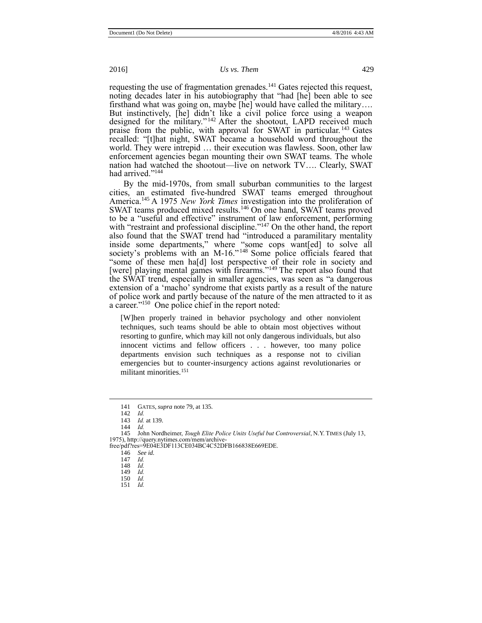requesting the use of fragmentation grenades.<sup>141</sup> Gates rejected this request, noting decades later in his autobiography that "had [he] been able to see firsthand what was going on, maybe [he] would have called the military…. But instinctively, [he] didn't like a civil police force using a weapon designed for the military." <sup>142</sup> After the shootout, LAPD received much praise from the public, with approval for SWAT in particular.<sup>143</sup> Gates recalled: "[t]hat night, SWAT became a household word throughout the world. They were intrepid … their execution was flawless. Soon, other law enforcement agencies began mounting their own SWAT teams. The whole nation had watched the shootout—live on network TV…. Clearly, SWAT had arrived."<sup>144</sup>

By the mid-1970s, from small suburban communities to the largest cities, an estimated five-hundred SWAT teams emerged throughout America.<sup>145</sup> A 1975 *New York Times* investigation into the proliferation of SWAT teams produced mixed results.<sup>146</sup> On one hand, SWAT teams proved to be a "useful and effective" instrument of law enforcement, performing with "restraint and professional discipline."<sup>147</sup> On the other hand, the report also found that the SWAT trend had "introduced a paramilitary mentality inside some departments," where "some cops want[ed] to solve all society's problems with an M-16."<sup>148</sup> Some police officials feared that "some of these men ha[d] lost perspective of their role in society and [were] playing mental games with firearms."<sup>149</sup> The report also found that the SWAT trend, especially in smaller agencies, was seen as "a dangerous extension of a 'macho' syndrome that exists partly as a result of the nature of police work and partly because of the nature of the men attracted to it as a career." 150 One police chief in the report noted:

[W]hen properly trained in behavior psychology and other nonviolent techniques, such teams should be able to obtain most objectives without resorting to gunfire, which may kill not only dangerous individuals, but also innocent victims and fellow officers . . . however, too many police departments envision such techniques as a response not to civilian emergencies but to counter-insurgency actions against revolutionaries or militant minorities.<sup>151</sup>

- 147 *Id.*
- 148 *Id.*

- 150 *Id.*
- 151 *Id.*

<sup>141</sup> GATES, *supra* not[e 79,](#page-9-0) at 135.

<sup>142</sup> *Id.*

<sup>143</sup> *Id.* at 139. 144 *Id.*

<sup>145</sup> John Nordheimer, *Tough Elite Police Units Useful but Controversial*, N.Y. TIMES (July 13, 1975), http://query.nytimes.com/mem/archive-free/pdf?res=9E04E3DF113CE034BC4C52DFB166838E669EDE.

<sup>146</sup> *See id.*

<sup>149</sup> *Id.*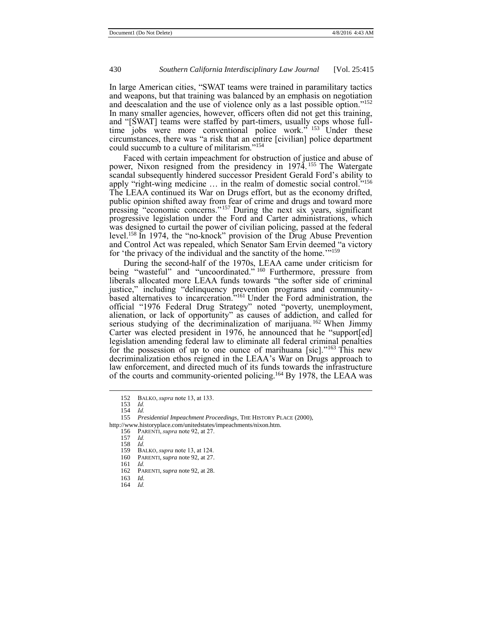In large American cities, "SWAT teams were trained in paramilitary tactics and weapons, but that training was balanced by an emphasis on negotiation and deescalation and the use of violence only as a last possible option." 152 In many smaller agencies, however, officers often did not get this training, and "[SWAT] teams were staffed by part-timers, usually cops whose fulltime jobs were more conventional police work."<sup>153</sup> Under these circumstances, there was "a risk that an entire [civilian] police department could succumb to a culture of militarism." 154

Faced with certain impeachment for obstruction of justice and abuse of power, Nixon resigned from the presidency in 1974. <sup>155</sup> The Watergate scandal subsequently hindered successor President Gerald Ford's ability to apply "right-wing medicine ... in the realm of domestic social control."<sup>156</sup> The LEAA continued its War on Drugs effort, but as the economy drifted, public opinion shifted away from fear of crime and drugs and toward more pressing "economic concerns."<sup>157</sup> During the next six years, significant progressive legislation under the Ford and Carter administrations, which was designed to curtail the power of civilian policing, passed at the federal level.<sup>158</sup> In 1974, the "no-knock" provision of the Drug Abuse Prevention and Control Act was repealed, which Senator Sam Ervin deemed "a victory for 'the privacy of the individual and the sanctity of the home.'"<sup>159</sup>

During the second-half of the 1970s, LEAA came under criticism for being "wasteful" and "uncoordinated."<sup>160</sup> Furthermore, pressure from liberals allocated more LEAA funds towards "the softer side of criminal justice," including "delinquency prevention programs and communitybased alternatives to incarceration." <sup>161</sup> Under the Ford administration, the official "1976 Federal Drug Strategy" noted "poverty, unemployment, alienation, or lack of opportunity" as causes of addiction, and called for serious studying of the decriminalization of marijuana.<sup>162</sup> When Jimmy Carter was elected president in 1976, he announced that he "support[ed] legislation amending federal law to eliminate all federal criminal penalties for the possession of up to one ounce of marihuana [sic]. $163$  This new decriminalization ethos reigned in the LEAA's War on Drugs approach to law enforcement, and directed much of its funds towards the infrastructure of the courts and community-oriented policing.<sup>164</sup> By 1978, the LEAA was

<sup>152</sup> BALKO, *supra* not[e 13,](#page-2-0) at 133.

<sup>153</sup> *Id.* 154 *Id.* 

<sup>155</sup> *Presidential Impeachment Proceedings*, THE HISTORY PLACE (2000),

http://www.historyplace.com/unitedstates/impeachments/nixon.htm.

<sup>156</sup> PARENTI, *supra* not[e 92,](#page-10-0) at 27.

<sup>157</sup> *Id.*

<sup>158</sup> *Id.*

<sup>159</sup> BALKO, *supra* not[e 13,](#page-2-0) at 124. PARENTI, *supra* not[e 92,](#page-10-0) at 27.

<sup>161</sup> *Id.* 

<sup>162</sup> PARENTI, *supra* not[e 92,](#page-10-0) at 28.

<sup>163</sup> *Id.* 164 *Id.*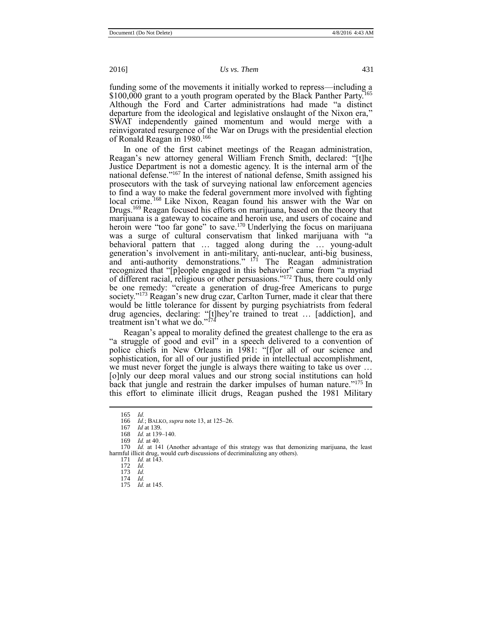funding some of the movements it initially worked to repress—including a \$100,000 grant to a youth program operated by the Black Panther Party.<sup>165</sup> Although the Ford and Carter administrations had made "a distinct departure from the ideological and legislative onslaught of the Nixon era," SWAT independently gained momentum and would merge with a reinvigorated resurgence of the War on Drugs with the presidential election of Ronald Reagan in 1980.<sup>166</sup>

In one of the first cabinet meetings of the Reagan administration, Reagan's new attorney general William French Smith, declared: "[t]he Justice Department is not a domestic agency. It is the internal arm of the national defense." <sup>167</sup> In the interest of national defense, Smith assigned his prosecutors with the task of surveying national law enforcement agencies to find a way to make the federal government more involved with fighting local crime.<sup>168</sup> Like Nixon, Reagan found his answer with the War on Drugs.<sup>169</sup> Reagan focused his efforts on marijuana, based on the theory that marijuana is a gateway to cocaine and heroin use, and users of cocaine and heroin were "too far gone" to save.<sup>170</sup> Underlying the focus on marijuana was a surge of cultural conservatism that linked marijuana with "a behavioral pattern that … tagged along during the … young-adult generation's involvement in anti-military, anti-nuclear, anti-big business, and anti-authority demonstrations." <sup>171</sup> The Reagan administration recognized that "[p]eople engaged in this behavior" came from "a myriad of different racial, religious or other persuasions." <sup>172</sup> Thus, there could only be one remedy: "create a generation of drug-free Americans to purge society."<sup>173</sup> Reagan's new drug czar, Carlton Turner, made it clear that there would be little tolerance for dissent by purging psychiatrists from federal drug agencies, declaring: "[t]hey're trained to treat … [addiction], and treatment isn't what we do." 174

Reagan's appeal to morality defined the greatest challenge to the era as "a struggle of good and evil" in a speech delivered to a convention of police chiefs in New Orleans in 1981: "[f]or all of our science and sophistication, for all of our justified pride in intellectual accomplishment, we must never forget the jungle is always there waiting to take us over ... [o]nly our deep moral values and our strong social institutions can hold back that jungle and restrain the darker impulses of human nature."<sup>175</sup> In this effort to eliminate illicit drugs, Reagan pushed the 1981 Military

<sup>165</sup> *Id.*

<sup>166</sup> *Id.*; BALKO, *supra* not[e 13,](#page-2-0) at 125–26.

<sup>167</sup> *Id* at 139.

<sup>168</sup> *Id.* at 139–140.<br>169 *Id.* at 40

<sup>169</sup> *Id.* at 40. *Id.* at 141 (Another advantage of this strategy was that demonizing marijuana, the least harmful illicit drug, would curb discussions of decriminalizing any others).

<sup>171</sup> *Id.* at 143. 172 *Id.*

<sup>173</sup> *Id.*

<sup>174</sup> *Id.*  175 *Id.* at 145.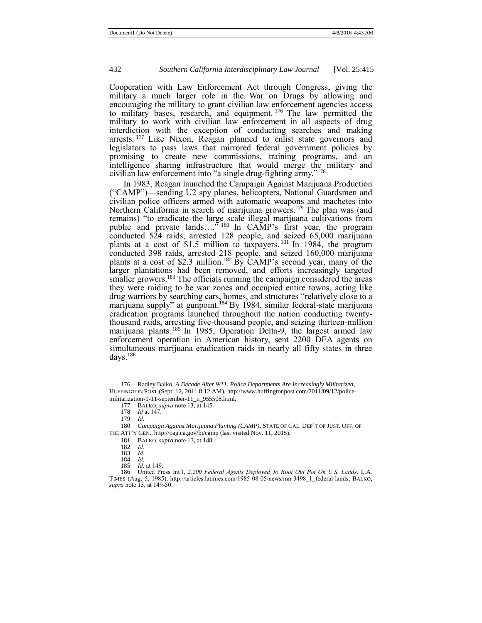Cooperation with Law Enforcement Act through Congress, giving the military a much larger role in the War on Drugs by allowing and encouraging the military to grant civilian law enforcement agencies access to military bases, research, and equipment. <sup>176</sup> The law permitted the military to work with civilian law enforcement in all aspects of drug interdiction with the exception of conducting searches and making arrests.<sup>177</sup> Like Nixon, Reagan planned to enlist state governors and legislators to pass laws that mirrored federal government policies by promising to create new commissions, training programs, and an intelligence sharing infrastructure that would merge the military and civilian law enforcement into "a single drug-fighting army." 178

In 1983, Reagan launched the Campaign Against Marijuana Production ("CAMP")—sending U2 spy planes, helicopters, National Guardsmen and civilian police officers armed with automatic weapons and machetes into Northern California in search of marijuana growers.<sup>179</sup> The plan was (and remains) "to eradicate the large scale illegal marijuana cultivations from public and private lands….<sup>7</sup><sup>180</sup> In CAMP's first year, the program conducted 524 raids, arrested 128 people, and seized 65,000 marijuana plants at a cost of \$1.5 million to taxpayers. <sup>181</sup> In 1984, the program conducted 398 raids, arrested 218 people, and seized 160,000 marijuana plants at a cost of \$2.3 million.<sup>182</sup> By CAMP's second year, many of the larger plantations had been removed, and efforts increasingly targeted smaller growers.<sup>183</sup> The officials running the campaign considered the areas they were raiding to be war zones and occupied entire towns, acting like drug warriors by searching cars, homes, and structures "relatively close to a marijuana supply" at gunpoint.<sup>184</sup> By 1984, similar federal-state marijuana eradication programs launched throughout the nation conducting twentythousand raids, arresting five-thousand people, and seizing thirteen-million marijuana plants. <sup>185</sup> In 1985, Operation Delta-9, the largest armed law enforcement operation in American history, sent 2200 DEA agents on simultaneous marijuana eradication raids in nearly all fifty states in three days.<sup>186</sup>

<sup>176</sup> Radley Balko, *A Decade After 9/11, Police Departments Are Increasingly Militarized*, HUFFINGTON POST (Sept. 12, 2011 8:12 AM), http://www.huffingtonpost.com/2011/09/12/policemilitarization-9-11-september-11\_n\_955508.html.

<sup>177</sup> BALKO, *supra* not[e 13,](#page-2-0) at 145.

<sup>178</sup> *Id* at 147.

<sup>179</sup> *Id.*

<sup>180</sup> *Campaign Against Marijuana Planting (CAMP)*, STATE OF CAL. DEP'T OF JUST. OFF. OF THE ATT'Y GEN., http://oag.ca.gov/bi/camp (last visited Nov. 11, 2015).

<sup>181</sup> BALKO, *supra* not[e 13,](#page-2-0) at 148.

<sup>182</sup> *Id.*

<sup>183</sup> *Id.*

<sup>184</sup> *Id.*

*Id.* at 149.

<sup>186</sup> United Press Int'l, *2,200 Federal Agents Deployed To Root Out Pot On U.S. Lands*, L.A. TIMES (Aug. 5, 1985), http://articles.latimes.com/1985-08-05/news/mn-3498\_1\_federal-lands; BALKO, *supra* not[e 13,](#page-2-0) at 149-50.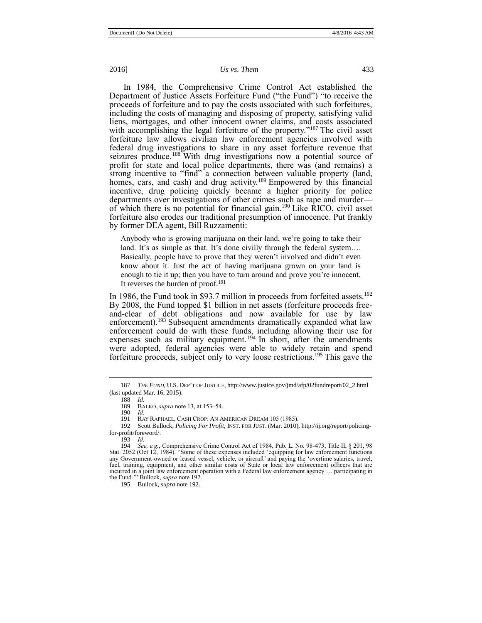In 1984, the Comprehensive Crime Control Act established the Department of Justice Assets Forfeiture Fund ("the Fund") "to receive the proceeds of forfeiture and to pay the costs associated with such forfeitures, including the costs of managing and disposing of property, satisfying valid liens, mortgages, and other innocent owner claims, and costs associated with accomplishing the legal forfeiture of the property."<sup>187</sup> The civil asset forfeiture law allows civilian law enforcement agencies involved with federal drug investigations to share in any asset forfeiture revenue that seizures produce.<sup>188</sup> With drug investigations now a potential source of profit for state and local police departments, there was (and remains) a strong incentive to "find" a connection between valuable property (land, homes, cars, and cash) and drug activity.<sup>189</sup> Empowered by this financial incentive, drug policing quickly became a higher priority for police departments over investigations of other crimes such as rape and murder of which there is no potential for financial gain.<sup>190</sup> Like RICO, civil asset forfeiture also erodes our traditional presumption of innocence. Put frankly by former DEA agent, Bill Ruzzamenti:

Anybody who is growing marijuana on their land, we're going to take their land. It's as simple as that. It's done civilly through the federal system.... Basically, people have to prove that they weren't involved and didn't even know about it. Just the act of having marijuana grown on your land is enough to tie it up; then you have to turn around and prove you're innocent. It reverses the burden of proof.<sup>191</sup>

In 1986, the Fund took in \$93.7 million in proceeds from forfeited assets.<sup>192</sup> By 2008, the Fund topped \$1 billion in net assets (forfeiture proceeds freeand-clear of debt obligations and now available for use by law enforcement).<sup>193</sup> Subsequent amendments dramatically expanded what law enforcement could do with these funds, including allowing their use for expenses such as military equipment.<sup>194</sup> In short, after the amendments were adopted, federal agencies were able to widely retain and spend forfeiture proceeds, subject only to very loose restrictions. <sup>195</sup> This gave the

 $\overline{a}$ 

192 Scott Bullock, *Policing For Profit*, INST. FOR JUST. (Mar. 2010), http://ij.org/report/policingfor-profit/foreword/.

195 Bullock, *supra* not[e 192.](#page-18-0)

<span id="page-18-0"></span>

<sup>187</sup> *THE FUND*, U.S. DEP'T OF JUSTICE, http://www.justice.gov/jmd/afp/02fundreport/02\_2.html (last updated Mar. 16, 2015).

<sup>188</sup> *Id.*

BALKO, *supra* not[e 13,](#page-2-0) at 153–54.

<sup>190</sup> *Id.* RAY RAPHAEL, CASH CROP: AN AMERICAN DREAM 105 (1985).

<sup>193</sup> *Id.*

<sup>194</sup> *See, e.g.*, Comprehensive Crime Control Act of 1984, Pub. L. No. 98-473, Title II, § 201, 98 Stat. 2052 (Oct 12, 1984). "Some of these expenses included 'equipping for law enforcement functions any Government-owned or leased vessel, vehicle, or aircraft' and paying the 'overtime salaries, travel, fuel, training, equipment, and other similar costs of State or local law enforcement officers that are incurred in a joint law enforcement operation with a Federal law enforcement agency … participating in the Fund.'" Bullock, *supra* not[e 192.](#page-18-0)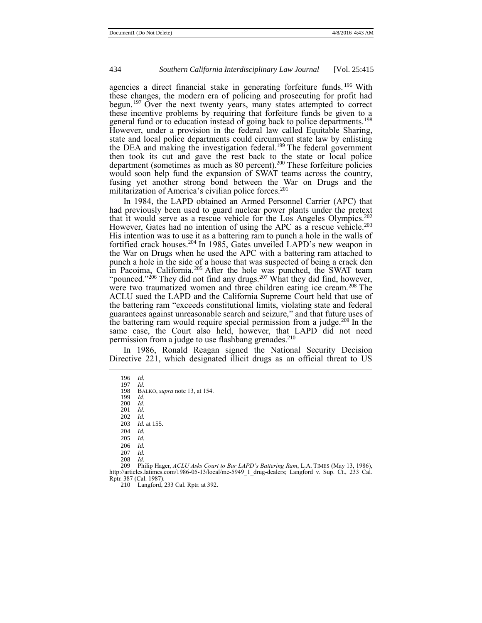agencies a direct financial stake in generating forfeiture funds. <sup>196</sup> With these changes, the modern era of policing and prosecuting for profit had begun.<sup>197</sup> Over the next twenty years, many states attempted to correct these incentive problems by requiring that forfeiture funds be given to a general fund or to education instead of going back to police departments.<sup>198</sup> However, under a provision in the federal law called Equitable Sharing, state and local police departments could circumvent state law by enlisting the DEA and making the investigation federal.<sup>199</sup> The federal government then took its cut and gave the rest back to the state or local police department (sometimes as much as 80 percent).<sup>200</sup> These forfeiture policies would soon help fund the expansion of SWAT teams across the country, fusing yet another strong bond between the War on Drugs and the militarization of America's civilian police forces.<sup>201</sup>

In 1984, the LAPD obtained an Armed Personnel Carrier (APC) that had previously been used to guard nuclear power plants under the pretext that it would serve as a rescue vehicle for the Los Angeles Olympics.<sup>202</sup> However, Gates had no intention of using the APC as a rescue vehicle.<sup>203</sup> His intention was to use it as a battering ram to punch a hole in the walls of fortified crack houses.<sup>204</sup> In 1985, Gates unveiled LAPD's new weapon in the War on Drugs when he used the APC with a battering ram attached to punch a hole in the side of a house that was suspected of being a crack den in Pacoima, California.<sup>205</sup> After the hole was punched, the SWAT team "pounced."<sup>206</sup> They did not find any drugs.<sup>207</sup> What they did find, however, were two traumatized women and three children eating ice cream.<sup>208</sup> The ACLU sued the LAPD and the California Supreme Court held that use of the battering ram "exceeds constitutional limits, violating state and federal guarantees against unreasonable search and seizure," and that future uses of the battering ram would require special permission from a judge.<sup>209</sup> In the same case, the Court also held, however, that LAPD did not need permission from a judge to use flashbang grenades.<sup>210</sup>

In 1986, Ronald Reagan signed the National Security Decision Directive 221, which designated illicit drugs as an official threat to US

 $\overline{a}$ 

199 *Id.* 200 *Id.*

201 *Id.*

202 *Id. Id.* at 155.

204 *Id.*

205 *Id.*

206 *Id.* 207 *Id.*

208 *Id.* 209 Philip Hager, *ACLU Asks Court to Bar LAPD's Battering Ram*, L.A. TIMES (May 13, 1986), http://articles.latimes.com/1986-05-13/local/me-5949\_1\_drug-dealers; Langford v. Sup. Ct., 233 Cal.

Rptr. 387 (Cal. 1987). 210 Langford, 233 Cal. Rptr. at 392.

<sup>196</sup> *Id.*

<sup>197</sup> *Id.* BALKO, *supra* not[e 13,](#page-2-0) at 154.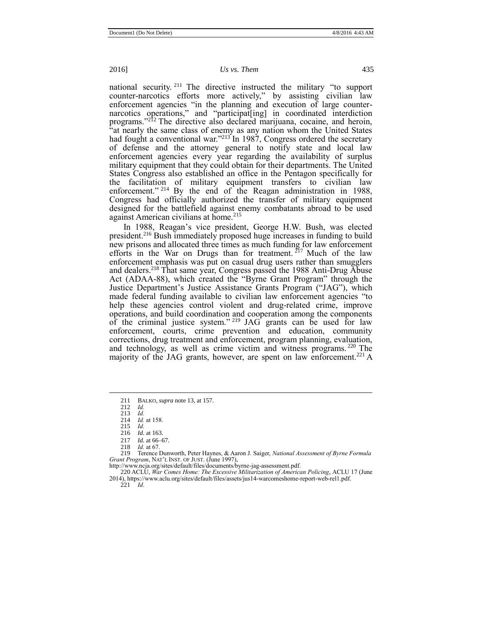national security. <sup>211</sup> The directive instructed the military "to support counter-narcotics efforts more actively," by assisting civilian law enforcement agencies "in the planning and execution of large counternarcotics operations," and "participat[ing] in coordinated interdiction programs." <sup>212</sup> The directive also declared marijuana, cocaine, and heroin, "at nearly the same class of enemy as any nation whom the United States had fought a conventional war."<sup>213'</sup>In 1987, Congress ordered the secretary of defense and the attorney general to notify state and local law enforcement agencies every year regarding the availability of surplus military equipment that they could obtain for their departments. The United States Congress also established an office in the Pentagon specifically for the facilitation of military equipment transfers to civilian law enforcement."<sup>214</sup> By the end of the Reagan administration in 1988, Congress had officially authorized the transfer of military equipment designed for the battlefield against enemy combatants abroad to be used against American civilians at home.<sup>215</sup>

In 1988, Reagan's vice president, George H.W. Bush, was elected president.<sup>216</sup> Bush immediately proposed huge increases in funding to build new prisons and allocated three times as much funding for law enforcement efforts in the War on Drugs than for treatment.  $217$  Much of the law enforcement emphasis was put on casual drug users rather than smugglers and dealers.<sup>218</sup> That same year, Congress passed the 1988 Anti-Drug Abuse Act (ADAA-88), which created the "Byrne Grant Program" through the Justice Department's Justice Assistance Grants Program ("JAG"), which made federal funding available to civilian law enforcement agencies "to help these agencies control violent and drug-related crime, improve operations, and build coordination and cooperation among the components of the criminal justice system." <sup>219</sup> JAG grants can be used for law enforcement, courts, crime prevention and education, community corrections, drug treatment and enforcement, program planning, evaluation, and technology, as well as crime victim and witness programs. <sup>220</sup> The majority of the JAG grants, however, are spent on law enforcement.<sup>221</sup> A

 $\overline{a}$ 

219 Terence Dunworth, Peter Haynes, & Aaron J. Saiger, *National Assessment of Byrne Formula Grant Program*, NAT'L INST. OF JUST. (June 1997),

http://www.ncja.org/sites/default/files/documents/byrne-jag-assessment.pdf.

220 ACLU, *War Comes Home: The Excessive Militarization of American Policing*, ACLU 17 (June 2014), https://www.aclu.org/sites/default/files/assets/jus14-warcomeshome-report-web-rel1.pdf.

221 *Id.* 

<sup>211</sup> BALKO, *supra* not[e 13,](#page-2-0) at 157.

<span id="page-20-0"></span><sup>212</sup> *Id.*

<sup>213</sup> *Id.*

<sup>214</sup> *Id.* at 158. 215 *Id.*

<sup>216</sup> *Id.* at 163. 217 *Id.* at 66–67.

<sup>218</sup> *Id.* at 67.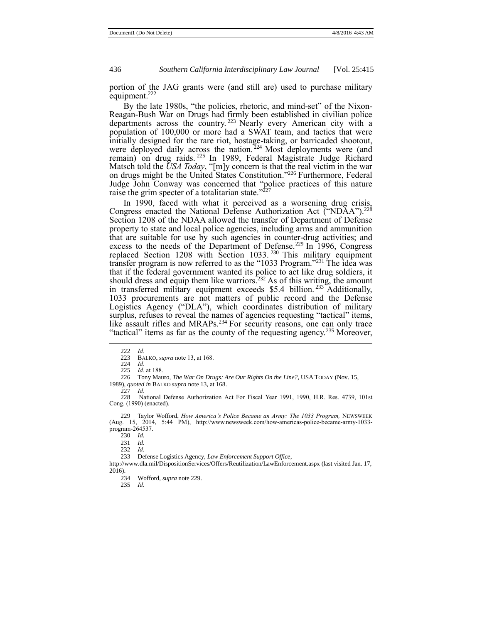portion of the JAG grants were (and still are) used to purchase military equipment.<sup>222</sup>

By the late 1980s, "the policies, rhetoric, and mind-set" of the Nixon-Reagan-Bush War on Drugs had firmly been established in civilian police departments across the country. <sup>223</sup> Nearly every American city with a population of 100,000 or more had a SWAT team, and tactics that were initially designed for the rare riot, hostage-taking, or barricaded shootout, were deployed daily across the nation.<sup>224</sup> Most deployments were (and remain) on drug raids. <sup>225</sup> In 1989, Federal Magistrate Judge Richard Matsch told the *USA Today*, "[m]y concern is that the real victim in the war on drugs might be the United States Constitution." <sup>226</sup> Furthermore, Federal Judge John Conway was concerned that "police practices of this nature raise the grim specter of a totalitarian state."<sup>227</sup>

<span id="page-21-0"></span>In 1990, faced with what it perceived as a worsening drug crisis, Congress enacted the National Defense Authorization Act ("NDAA").<sup>228</sup> Section 1208 of the NDAA allowed the transfer of Department of Defense property to state and local police agencies, including arms and ammunition that are suitable for use by such agencies in counter-drug activities; and excess to the needs of the Department of Defense.<sup>229</sup> In 1996, Congress replaced Section 1208 with Section 1033.<sup>230</sup> This military equipment transfer program is now referred to as the "1033 Program." <sup>231</sup> The idea was that if the federal government wanted its police to act like drug soldiers, it should dress and equip them like warriors.<sup>232</sup> As of this writing, the amount in transferred military equipment exceeds \$5.4 billion.<sup>233</sup> Additionally, 1033 procurements are not matters of public record and the Defense Logistics Agency ("DLA"), which coordinates distribution of military surplus, refuses to reveal the names of agencies requesting "tactical" items, like assault rifles and MRAPs.<sup>234</sup> For security reasons, one can only trace "tactical" items as far as the county of the requesting agency.<sup>235</sup> Moreover,

 $\overline{a}$ 

226 Tony Mauro, *The War On Drugs: Are Our Rights On the Line?,* USA TODAY (Nov. 15, 1989), *quoted in* BALKO *supra* not[e 13,](#page-2-0) at 168.

228 National Defense Authorization Act For Fiscal Year 1991, 1990, H.R. Res. 4739, 101st Cong. (1990) (enacted).

229 Taylor Wofford, *How America's Police Became an Army: The 1033 Program,* NEWSWEEK (Aug. 15, 2014, 5:44 PM), http://www.newsweek.com/how-americas-police-became-army-1033 program-264537.

230 *Id.*

231 *Id.*

232 *Id.*

233 Defense Logistics Agency, *Law Enforcement Support Office*,

http://www.dla.mil/DispositionServices/Offers/Reutilization/LawEnforcement.aspx (last visited Jan. 17, 2016).

234 Wofford, *supra* not[e 229.](#page-21-0)  235 *Id.*

<sup>222</sup> *Id.* 

BALKO, *supra* not[e 13,](#page-2-0) at 168.

<sup>224</sup> *Id.*

<sup>225</sup> *Id.* at 188.

<sup>227</sup> *Id.*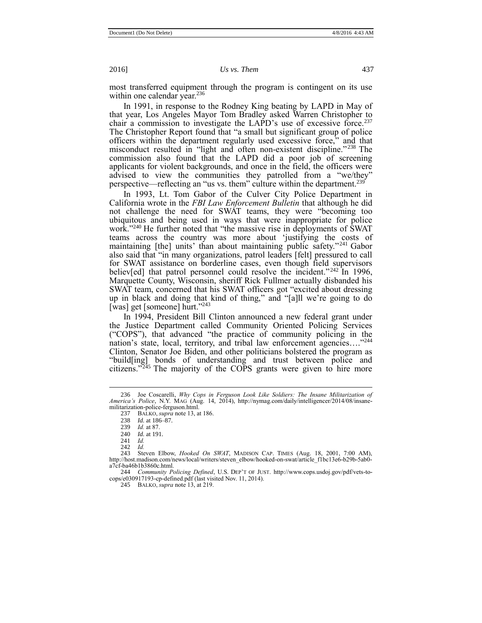most transferred equipment through the program is contingent on its use within one calendar year.<sup>236</sup>

In 1991, in response to the Rodney King beating by LAPD in May of that year, Los Angeles Mayor Tom Bradley asked Warren Christopher to chair a commission to investigate the LAPD's use of excessive force.<sup>237</sup> The Christopher Report found that "a small but significant group of police officers within the department regularly used excessive force," and that misconduct resulted in "light and often non-existent discipline."<sup>238</sup> The commission also found that the LAPD did a poor job of screening applicants for violent backgrounds, and once in the field, the officers were advised to view the communities they patrolled from a "we/they" perspective—reflecting an "us vs. them" culture within the department.<sup>239</sup>

In 1993, Lt. Tom Gabor of the Culver City Police Department in California wrote in the *FBI Law Enforcement Bulletin* that although he did not challenge the need for SWAT teams, they were "becoming too ubiquitous and being used in ways that were inappropriate for police work." <sup>240</sup> He further noted that "the massive rise in deployments of SWAT teams across the country was more about 'justifying the costs of maintaining [the] units' than about maintaining public safety."<sup>241</sup> Gabor also said that "in many organizations, patrol leaders [felt] pressured to call for SWAT assistance on borderline cases, even though field supervisors believ[ed] that patrol personnel could resolve the incident."<sup>242</sup> In 1996, Marquette County, Wisconsin, sheriff Rick Fullmer actually disbanded his SWAT team, concerned that his SWAT officers got "excited about dressing up in black and doing that kind of thing," and "[a]ll we're going to do [was] get [someone] hurt."243

In 1994, President Bill Clinton announced a new federal grant under the Justice Department called Community Oriented Policing Services ("COPS"), that advanced "the practice of community policing in the nation's state, local, territory, and tribal law enforcement agencies...."<sup>244</sup> Clinton, Senator Joe Biden, and other politicians bolstered the program as "build[ing] bonds of understanding and trust between police and citizens." $245$  The majority of the COPS grants were given to hire more

 $\overline{a}$ 

244 *Community Policing Defined*, U.S. DEP'T OF JUST. http://www.cops.usdoj.gov/pdf/vets-tocops/e030917193-cp-defined.pdf (last visited Nov. 11, 2014).

245 BALKO, *supra* not[e 13,](#page-2-0) at 219.

<sup>236</sup> Joe Coscarelli, *Why Cops in Ferguson Look Like Soldiers: The Insane Militarization of America's Police*, N.Y. MAG (Aug. 14, 2014), http://nymag.com/daily/intelligencer/2014/08/insanemilitarization-police-ferguson.html.

<sup>237</sup> BALKO, *supra* not[e 13,](#page-2-0) at 186.

<sup>238</sup> *Id.* at 186–87.

<sup>239</sup> *Id.* at 87.

<sup>240</sup> *Id.* at 191.

<sup>241</sup> *Id.*

<sup>242</sup> *Id.*

Steven Elbow, *Hooked On SWAT*, MADISON CAP. TIMES (Aug. 18, 2001, 7:00 AM), http://host.madison.com/news/local/writers/steven\_elbow/hooked-on-swat/article\_f1bc13e6-b29b-5ab0 a7cf-ba46b1b3860c.html.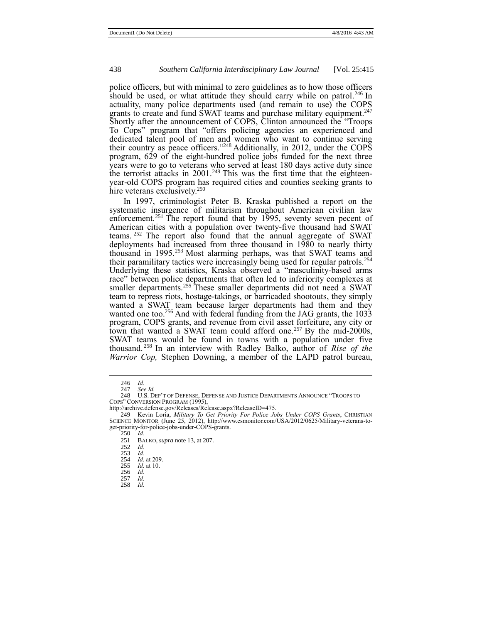police officers, but with minimal to zero guidelines as to how those officers should be used, or what attitude they should carry while on patrol.<sup>246</sup> In actuality, many police departments used (and remain to use) the COPS grants to create and fund SWAT teams and purchase military equipment.<sup>247</sup> Shortly after the announcement of COPS, Clinton announced the "Troops To Cops" program that "offers policing agencies an experienced and dedicated talent pool of men and women who want to continue serving their country as peace officers."<sup>248</sup> Additionally, in 2012, under the COPS program, 629 of the eight-hundred police jobs funded for the next three years were to go to veterans who served at least 180 days active duty since the terrorist attacks in  $2001$ .<sup>249</sup> This was the first time that the eighteenyear-old COPS program has required cities and counties seeking grants to hire veterans exclusively.<sup>250</sup>

In 1997, criminologist Peter B. Kraska published a report on the systematic insurgence of militarism throughout American civilian law enforcement.<sup>251</sup> The report found that by 1995, seventy seven pecent of American cities with a population over twenty-five thousand had SWAT teams. <sup>252</sup> The report also found that the annual aggregate of SWAT deployments had increased from three thousand in 1980 to nearly thirty thousand in 1995.<sup>253</sup> Most alarming perhaps, was that SWAT teams and their paramilitary tactics were increasingly being used for regular patrols.<sup>254</sup> Underlying these statistics, Kraska observed a "masculinity-based arms race" between police departments that often led to inferiority complexes at smaller departments.<sup>255</sup> These smaller departments did not need a SWAT team to repress riots, hostage-takings, or barricaded shootouts, they simply wanted a SWAT team because larger departments had them and they wanted one too.<sup>256</sup> And with federal funding from the JAG grants, the 1033 program, COPS grants, and revenue from civil asset forfeiture, any city or town that wanted a SWAT team could afford one.<sup>257</sup> By the mid-2000s, SWAT teams would be found in towns with a population under five thousand. <sup>258</sup> In an interview with Radley Balko, author of *Rise of the Warrior Cop,* Stephen Downing, a member of the LAPD patrol bureau,

- 253 *Id.*
- 254 *Id.* at 209.
- *Id.* at 10.
- 256 *Id.*
- 257 *Id.*
- $\frac{25}{8}$

<sup>246</sup> *Id.* See Id.

<sup>248</sup> U.S. DEP'T OF DEFENSE, DEFENSE AND JUSTICE DEPARTMENTS ANNOUNCE "TROOPS TO

COPS" CONVERSION PROGRAM (1995), http://archive.defense.gov/Releases/Release.aspx?ReleaseID=475.

<sup>249</sup> Kevin Loria, *Military To Get Priority For Police Jobs Under COPS Grants*, CHRISTIAN SCIENCE MONITOR (June 25, 2012), http://www.csmonitor.com/USA/2012/0625/Military-veterans-toget-priority-for-police-jobs-under-COPS-grants.

<sup>250</sup> *Id.*

<sup>251</sup> BALKO, *supra* not[e 13,](#page-2-0) at 207.

<sup>252</sup> *Id*.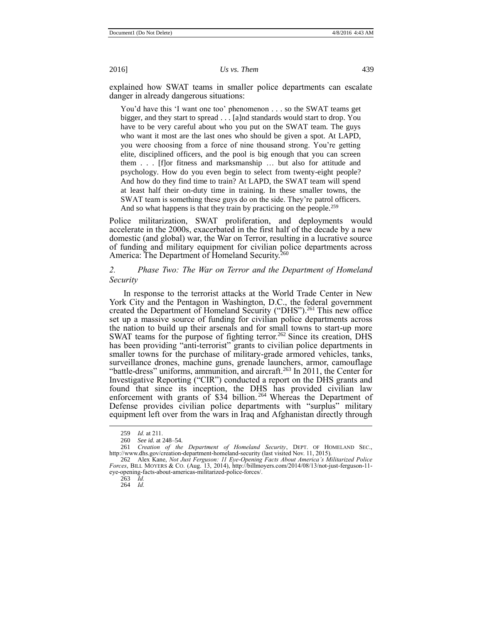explained how SWAT teams in smaller police departments can escalate danger in already dangerous situations:

You'd have this 'I want one too' phenomenon . . . so the SWAT teams get bigger, and they start to spread . . . [a]nd standards would start to drop. You have to be very careful about who you put on the SWAT team. The guys who want it most are the last ones who should be given a spot. At LAPD, you were choosing from a force of nine thousand strong. You're getting elite, disciplined officers, and the pool is big enough that you can screen them . . . [f]or fitness and marksmanship … but also for attitude and psychology. How do you even begin to select from twenty-eight people? And how do they find time to train? At LAPD, the SWAT team will spend at least half their on-duty time in training. In these smaller towns, the SWAT team is something these guys do on the side. They're patrol officers. And so what happens is that they train by practicing on the people.<sup>259</sup>

Police militarization, SWAT proliferation, and deployments would accelerate in the 2000s, exacerbated in the first half of the decade by a new domestic (and global) war, the War on Terror, resulting in a lucrative source of funding and military equipment for civilian police departments across America: The Department of Homeland Security.<sup>260</sup>

# *2. Phase Two: The War on Terror and the Department of Homeland Security*

<span id="page-24-0"></span>In response to the terrorist attacks at the World Trade Center in New York City and the Pentagon in Washington, D.C., the federal government created the Department of Homeland Security ("DHS").<sup>261</sup> This new office set up a massive source of funding for civilian police departments across the nation to build up their arsenals and for small towns to start-up more SWAT teams for the purpose of fighting terror.<sup>262</sup> Since its creation, DHS has been providing "anti-terrorist" grants to civilian police departments in smaller towns for the purchase of military-grade armored vehicles, tanks, surveillance drones, machine guns, grenade launchers, armor, camouflage "battle-dress" uniforms, ammunition, and aircraft.<sup>263</sup> In 2011, the Center for Investigative Reporting ("CIR") conducted a report on the DHS grants and found that since its inception, the DHS has provided civilian law enforcement with grants of \$34 billion.<sup>264</sup> Whereas the Department of Defense provides civilian police departments with "surplus" military equipment left over from the wars in Iraq and Afghanistan directly through

263 *Id.* 264 *Id.*

<sup>259</sup> *Id.* at 211.

See id. at 248-54.

<sup>261</sup> *Creation of the Department of Homeland Security*, DEPT. OF HOMELAND SEC., http://www.dhs.gov/creation-department-homeland-security (last visited Nov. 11, 2015).

<sup>262</sup> Alex Kane, *Not Just Ferguson: 11 Eye-Opening Facts About America's Militarized Police Forces*, BILL MOYERS & CO. (Aug. 13, 2014), http://billmoyers.com/2014/08/13/not-just-ferguson-11 eye-opening-facts-about-americas-militarized-police-forces/.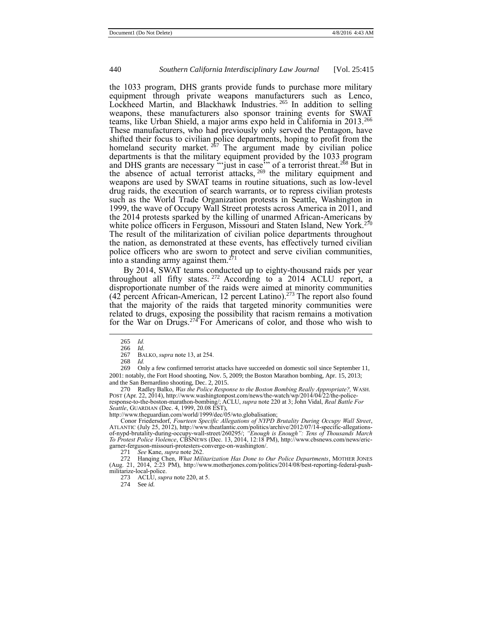the 1033 program, DHS grants provide funds to purchase more military equipment through private weapons manufacturers such as Lenco, Lockheed Martin, and Blackhawk Industries. <sup>265</sup> In addition to selling weapons, these manufacturers also sponsor training events for SWAT teams, like Urban Shield, a major arms expo held in California in 2013.<sup>266</sup> These manufacturers, who had previously only served the Pentagon, have shifted their focus to civilian police departments, hoping to profit from the homeland security market. <sup>267</sup> The argument made by civilian police departments is that the military equipment provided by the 1033 program and DHS grants are necessary "just in case" of a terrorist threat.<sup>268</sup> But in the absence of actual terrorist attacks, <sup>269</sup> the military equipment and weapons are used by SWAT teams in routine situations, such as low-level drug raids, the execution of search warrants, or to repress civilian protests such as the World Trade Organization protests in Seattle, Washington in 1999, the wave of Occupy Wall Street protests across America in 2011, and the 2014 protests sparked by the killing of unarmed African-Americans by white police officers in Ferguson, Missouri and Staten Island, New York.<sup>270</sup> The result of the militarization of civilian police departments throughout the nation, as demonstrated at these events, has effectively turned civilian police officers who are sworn to protect and serve civilian communities, into a standing army against them. $271$ 

<span id="page-25-0"></span>By 2014, SWAT teams conducted up to eighty-thousand raids per year throughout all fifty states. <sup>272</sup> According to a 2014 ACLU report, a disproportionate number of the raids were aimed at minority communities (42 percent African-American, 12 percent Latino).<sup>273</sup> The report also found that the majority of the raids that targeted minority communities were related to drugs, exposing the possibility that racism remains a motivation for the War on Drugs.<sup>274</sup> For Americans of color, and those who wish to

 $\overline{a}$ 

269 Only a few confirmed terrorist attacks have succeeded on domestic soil since September 11, 2001: notably, the Fort Hood shooting, Nov. 5, 2009; the Boston Marathon bombing, Apr. 15, 2013; and the San Bernardino shooting, Dec. 2, 2015.

270 Radley Balko, *Was the Police Response to the Boston Bombing Really Appropriate?,* WASH. POST (Apr. 22, 2014), http://www.washingtonpost.com/news/the-watch/wp/2014/04/22/the-policeresponse-to-the-boston-marathon-bombing/; ACLU, *supra* not[e 220](#page-20-0) at 3; John Vidal, *Real Battle For Seattle*, GUARDIAN (Dec. 4, 1999, 20.08 EST),

http://www.theguardian.com/world/1999/dec/05/wto.globalisation;

Conor Friedersdorf, *Fourteen Specific Allegations of NYPD Brutality During Occupy Wall Street*, ATLANTIC (July 25, 2012), http://www.theatlantic.com/politics/archive/2012/07/14-specific-allegationsof-nypd-brutality-during-occupy-wall-street/260295/; *"Enough is Enough": Tens of Thousands March To Protest Police Violence*, CBSNEWS (Dec. 13, 2014, 12:18 PM), http://www.cbsnews.com/news/ericgarner-ferguson-missouri-protesters-converge-on-washington/.<br>271 See Kane, supra note 262.

271 *See* Kane, *supra* not[e 262.](#page-24-0)

272 Hanqing Chen, *What Militarization Has Done to Our Police Departments*, MOTHER JONES (Aug. 21, 2014, 2:23 PM), http://www.motherjones.com/politics/2014/08/best-reporting-federal-pushmilitarize-local-police.

273 ACLU, *supra* not[e 220,](#page-20-0) at 5.

274 See *id.*

<sup>265</sup> *Id.*

<sup>266</sup> *Id.*

<sup>267</sup> BALKO, *supra* not[e 13,](#page-2-0) at 254.

<sup>268</sup> *Id.*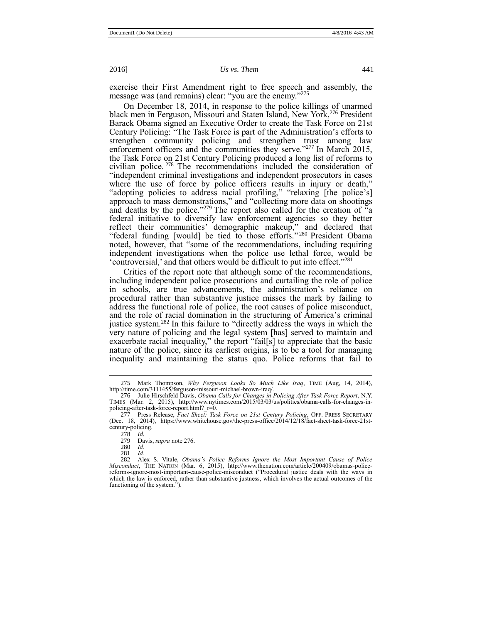exercise their First Amendment right to free speech and assembly, the message was (and remains) clear: "you are the enemy."275

On December 18, 2014, in response to the police killings of unarmed black men in Ferguson, Missouri and Staten Island, New York,<sup>276</sup> President Barack Obama signed an Executive Order to create the Task Force on 21st Century Policing: "The Task Force is part of the Administration's efforts to strengthen community policing and strengthen trust among law enforcement officers and the communities they serve."<sup>277</sup> In March 2015, the Task Force on 21st Century Policing produced a long list of reforms to civilian police. <sup>278</sup> The recommendations included the consideration of "independent criminal investigations and independent prosecutors in cases where the use of force by police officers results in injury or death," "adopting policies to address racial profiling," "relaxing [the police's] approach to mass demonstrations," and "collecting more data on shootings and deaths by the police."<sup>279</sup> The report also called for the creation of  $\tilde{a}$ federal initiative to diversify law enforcement agencies so they better reflect their communities' demographic makeup," and declared that "federal funding [would] be tied to those efforts."<sup>280</sup> President Obama noted, however, that "some of the recommendations, including requiring independent investigations when the police use lethal force, would be 'controversial,' and that others would be difficult to put into effect." 281

Critics of the report note that although some of the recommendations, including independent police prosecutions and curtailing the role of police in schools, are true advancements, the administration's reliance on procedural rather than substantive justice misses the mark by failing to address the functional role of police, the root causes of police misconduct, and the role of racial domination in the structuring of America's criminal justice system.<sup>282</sup> In this failure to "directly address the ways in which the very nature of policing and the legal system [has] served to maintain and exacerbate racial inequality," the report "fail[s] to appreciate that the basic nature of the police, since its earliest origins, is to be a tool for managing inequality and maintaining the status quo. Police reforms that fail to

 $\overline{a}$ 

281 *Id.*

<span id="page-26-0"></span>

<sup>275</sup> Mark Thompson, *Why Ferguson Looks So Much Like Iraq*, TIME (Aug, 14, 2014), http://time.com/3111455/ferguson-missouri-michael-brown-iraq/.

<sup>276</sup> Julie Hirschfeld Davis, *Obama Calls for Changes in Policing After Task Force Report*, N.Y. TIMES (Mar. 2, 2015), http://www.nytimes.com/2015/03/03/us/politics/obama-calls-for-changes-in-policing-after-task-force-report.html?\_r=0.

<sup>277</sup> Press Release, *Fact Sheet: Task Force on 21st Century Policing*, OFF. PRESS SECRETARY (Dec. 18, 2014), https://www.whitehouse.gov/the-press-office/2014/12/18/fact-sheet-task-force-21stcentury-policing.

<sup>278</sup> *Id.*

Davis, *supra* not[e 276.](#page-26-0)

<sup>280</sup> *Id.*

<sup>282</sup> Alex S. Vitale, *Obama's Police Reforms Ignore the Most Important Cause of Police Misconduct*, THE NATION (Mar. 6, 2015), http://www.thenation.com/article/200409/obamas-policereforms-ignore-most-important-cause-police-misconduct ("Procedural justice deals with the ways in which the law is enforced, rather than substantive justness, which involves the actual outcomes of the functioning of the system.").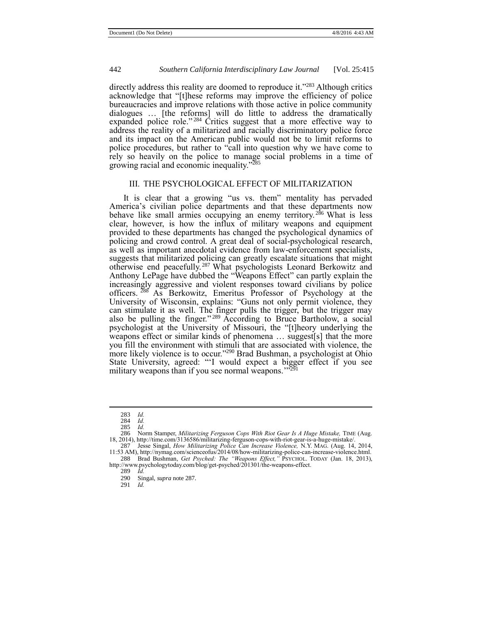directly address this reality are doomed to reproduce it."<sup>283</sup> Although critics acknowledge that "[t]hese reforms may improve the efficiency of police bureaucracies and improve relations with those active in police community dialogues ... [the reforms] will do little to address the dramatically expanded police role."<sup>284</sup> Critics suggest that a more effective way to address the reality of a militarized and racially discriminatory police force and its impact on the American public would not be to limit reforms to police procedures, but rather to "call into question why we have come to rely so heavily on the police to manage social problems in a time of growing racial and economic inequality." 285

#### <span id="page-27-1"></span><span id="page-27-0"></span>III. THE PSYCHOLOGICAL EFFECT OF MILITARIZATION

It is clear that a growing "us vs. them" mentality has pervaded America's civilian police departments and that these departments now behave like small armies occupying an enemy territory.<sup>286</sup> What is less clear, however, is how the influx of military weapons and equipment provided to these departments has changed the psychological dynamics of policing and crowd control. A great deal of social-psychological research, as well as important anecdotal evidence from law-enforcement specialists, suggests that militarized policing can greatly escalate situations that might otherwise end peacefully.<sup>287</sup> What psychologists Leonard Berkowitz and Anthony LePage have dubbed the "Weapons Effect" can partly explain the increasingly aggressive and violent responses toward civilians by police officers. <sup>288</sup> As Berkowitz, Emeritus Professor of Psychology at the University of Wisconsin, explains: "Guns not only permit violence, they can stimulate it as well. The finger pulls the trigger, but the trigger may also be pulling the finger." <sup>289</sup> According to Bruce Bartholow, a social psychologist at the University of Missouri, the "[t]heory underlying the weapons effect or similar kinds of phenomena … suggest[s] that the more you fill the environment with stimuli that are associated with violence, the more likely violence is to occur."<sup>290</sup> Brad Bushman, a psychologist at Ohio State University, agreed: "'I would expect a bigger effect if you see military weapons than if you see normal weapons  $\frac{292}{2}$ military weapons than if you see normal weapons."<sup>"</sup>

<sup>283</sup> *Id.*

<sup>284</sup> *Id.* 285 *Id.* 

<sup>286</sup> Norm Stamper, *Militarizing Ferguson Cops With Riot Gear Is A Huge Mistake*, TIME (Aug. 18, 2014), http://time.com/3136586/militarizing-ferguson-cops-with-riot-gear-is-a-huge-mistake/.

<sup>287</sup> Jesse Singal, *How Militarizing Police Can Increase Violence,* N.Y. MAG. (Aug. 14, 2014, 11:53 AM), http://nymag.com/scienceofus/2014/08/how-militarizing-police-can-increase-violence.html. 288 Brad Bushman, *Get Psyched: The "Weapons Effect,"* PSYCHOL. TODAY (Jan. 18, 2013),

http://www.psychologytoday.com/blog/get-psyched/201301/the-weapons-effect.

<sup>289</sup> *Id.* Singal, *supra* note 287.

<sup>291</sup> *Id.*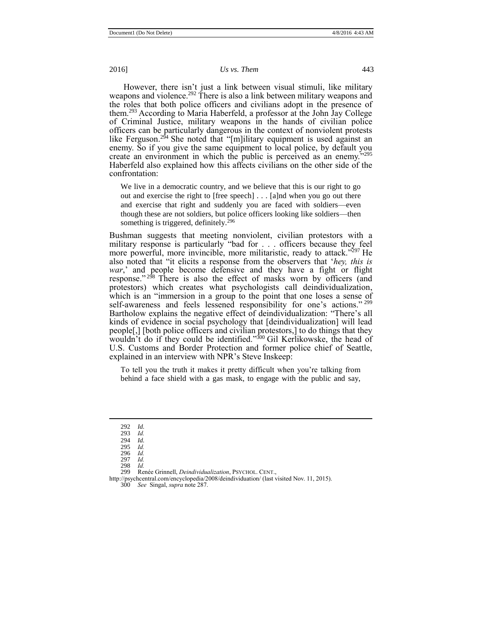However, there isn't just a link between visual stimuli, like military weapons and violence.<sup>292</sup> There is also a link between military weapons and the roles that both police officers and civilians adopt in the presence of them.<sup>293</sup> According to Maria Haberfeld, a professor at the John Jay College of Criminal Justice, military weapons in the hands of civilian police officers can be particularly dangerous in the context of nonviolent protests like Ferguson.<sup>294</sup> She noted that "[m]ilitary equipment is used against an enemy. So if you give the same equipment to local police, by default you create an environment in which the public is perceived as an enemy." 295 Haberfeld also explained how this affects civilians on the other side of the confrontation:

We live in a democratic country, and we believe that this is our right to go out and exercise the right to [free speech] . . . [a]nd when you go out there and exercise that right and suddenly you are faced with soldiers—even though these are not soldiers, but police officers looking like soldiers—then something is triggered, definitely.<sup>296</sup>

Bushman suggests that meeting nonviolent, civilian protestors with a military response is particularly "bad for . . . officers because they feel more powerful, more invincible, more militaristic, ready to attack."<sup>297</sup> He also noted that "it elicits a response from the observers that '*hey, this is war*,' and people become defensive and they have a fight or flight response."<sup>298</sup> There is also the effect of masks worn by officers (and protestors) which creates what psychologists call deindividualization, which is an "immersion in a group to the point that one loses a sense of self-awareness and feels lessened responsibility for one's actions."<sup>299</sup> Bartholow explains the negative effect of deindividualization: "There's all kinds of evidence in social psychology that [deindividualization] will lead people[,] [both police officers and civilian protestors,] to do things that they wouldn't do if they could be identified." <sup>300</sup> Gil Kerlikowske, the head of U.S. Customs and Border Protection and former police chief of Seattle, explained in an interview with NPR's Steve Inskeep:

To tell you the truth it makes it pretty difficult when you're talking from behind a face shield with a gas mask, to engage with the public and say,

 $\overline{a}$ 

298 *Id.*

<sup>292</sup> *Id.*

<sup>293</sup> *Id.* 294 *Id.*

<sup>295</sup> *Id.* 296 *Id.*

<sup>297</sup> *Id.*

<sup>299</sup> Renée Grinnell, *Deindividualization*, PSYCHOL. CENT.,

http://psychcentral.com/encyclopedia/2008/deindividuation/ (last visited Nov. 11, 2015). 300 *See* Singal, *supra* not[e 287.](#page-27-0)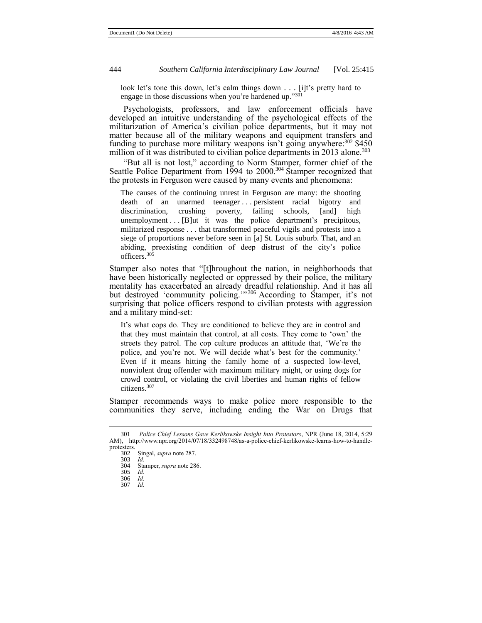look let's tone this down, let's calm things down . . . [i]t's pretty hard to engage in those discussions when you're hardened up."301

Psychologists, professors, and law enforcement officials have developed an intuitive understanding of the psychological effects of the militarization of America's civilian police departments, but it may not matter because all of the military weapons and equipment transfers and funding to purchase more military weapons isn't going anywhere: $302$  \$450 million of it was distributed to civilian police departments in 2013 alone.<sup>303</sup>

"But all is not lost," according to Norm Stamper, former chief of the Seattle Police Department from 1994 to 2000.<sup>304</sup> Stamper recognized that the protests in Ferguson were caused by many events and phenomena:

The causes of the continuing unrest in Ferguson are many: the shooting death of an unarmed teenager ... persistent racial bigotry and discrimination, crushing poverty, failing schools, [and] high unemployment . . . [B]ut it was the police department's precipitous, militarized response . . . that transformed peaceful vigils and protests into a siege of proportions never before seen in [a] St. Louis suburb. That, and an abiding, preexisting condition of deep distrust of the city's police officers.<sup>305</sup>

Stamper also notes that "[t]hroughout the nation, in neighborhoods that have been historically neglected or oppressed by their police, the military mentality has exacerbated an already dreadful relationship. And it has all but destroyed 'community policing.'" <sup>306</sup> According to Stamper, it's not surprising that police officers respond to civilian protests with aggression and a military mind-set:

It's what cops do. They are conditioned to believe they are in control and that they must maintain that control, at all costs. They come to 'own' the streets they patrol. The cop culture produces an attitude that, 'We're the police, and you're not. We will decide what's best for the community.' Even if it means hitting the family home of a suspected low-level, nonviolent drug offender with maximum military might, or using dogs for crowd control, or violating the civil liberties and human rights of fellow citizens.<sup>307</sup>

Stamper recommends ways to make police more responsible to the communities they serve, including ending the War on Drugs that

<sup>301</sup> *Police Chief Lessons Gave Kerlikowske Insight Into Protestors*, NPR (June 18, 2014, 5:29 AM), http://www.npr.org/2014/07/18/332498748/as-a-police-chief-kerlikowske-learns-how-to-handleprotesters.

Singal, *supra* not[e 287.](#page-27-0)

<sup>303</sup> *Id.*

Stamper, *supra* not[e 286.](#page-27-1)

<sup>305</sup> *Id.*

<sup>306</sup> *Id.* 307 *Id.*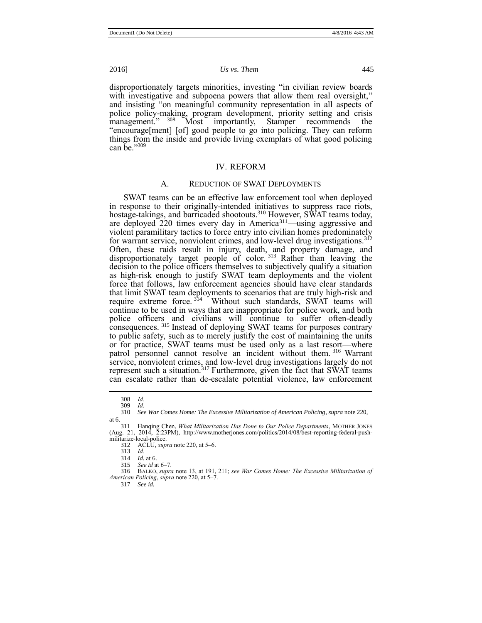disproportionately targets minorities, investing "in civilian review boards with investigative and subpoena powers that allow them real oversight," and insisting "on meaningful community representation in all aspects of police policy-making, program development, priority setting and crisis management." <sup>308</sup> Most importantly, Stamper recommends the "encourage[ment] [of] good people to go into policing. They can reform things from the inside and provide living exemplars of what good policing can be." 309

#### IV. REFORM

## A. REDUCTION OF SWAT DEPLOYMENTS

SWAT teams can be an effective law enforcement tool when deployed in response to their originally-intended initiatives to suppress race riots, hostage-takings, and barricaded shootouts.<sup>310</sup> However, SWAT teams today, are deployed 220 times every day in America<sup>311</sup>—using aggressive and violent paramilitary tactics to force entry into civilian homes predominately for warrant service, nonviolent crimes, and low-level drug investigations.<sup>312</sup> Often, these raids result in injury, death, and property damage, and disproportionately target people of color.<sup>313</sup> Rather than leaving the decision to the police officers themselves to subjectively qualify a situation as high-risk enough to justify SWAT team deployments and the violent force that follows, law enforcement agencies should have clear standards that limit SWAT team deployments to scenarios that are truly high-risk and require extreme force.  $314$  Without such standards, SWAT teams will continue to be used in ways that are inappropriate for police work, and both police officers and civilians will continue to suffer often-deadly consequences. 315 Instead of deploying SWAT teams for purposes contrary to public safety, such as to merely justify the cost of maintaining the units or for practice, SWAT teams must be used only as a last resort—where patrol personnel cannot resolve an incident without them. <sup>316</sup> Warrant service, nonviolent crimes, and low-level drug investigations largely do not represent such a situation.<sup>317</sup> Furthermore, given the fact that SWAT teams can escalate rather than de-escalate potential violence, law enforcement

 $\overline{a}$ 

316 BALKO, *supra* not[e 13,](#page-2-0) at 191, 211; *see War Comes Home: The Excessive Militarization of American Policing*, *supra* not[e 220,](#page-20-0) at 5–7.

<sup>308</sup> *Id.* 309 *Id.*

<sup>310</sup> *See War Comes Home: The Excessive Militarization of American Policing*, *supra* not[e 220,](#page-20-0)  at 6.

<sup>311</sup> Hanqing Chen, *What Militarization Has Done to Our Police Departments*, MOTHER JONES (Aug. 21, 2014, 2:23PM), http://www.motherjones.com/politics/2014/08/best-reporting-federal-pushmilitarize-local-police.

<sup>312</sup> ACLU, *supra* not[e 220,](#page-20-0) at 5–6.

<sup>313</sup> *Id.* 

<sup>314</sup> *Id.* at 6.

See id at 6–7.

<sup>317</sup> *See id.*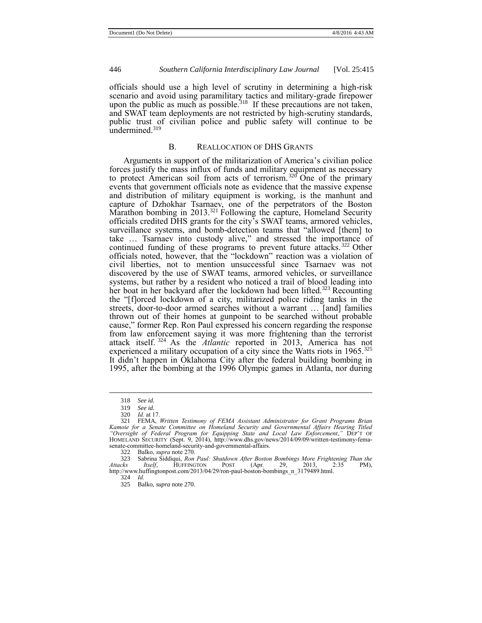officials should use a high level of scrutiny in determining a high-risk scenario and avoid using paramilitary tactics and military-grade firepower upon the public as much as possible.<sup>318</sup> If these precautions are not taken, and SWAT team deployments are not restricted by high-scrutiny standards, public trust of civilian police and public safety will continue to be  $\mu$ undermined.<sup>319</sup>

# B. REALLOCATION OF DHS GRANTS

Arguments in support of the militarization of America's civilian police forces justify the mass influx of funds and military equipment as necessary to protect American soil from acts of terrorism.<sup>320</sup> One of the primary events that government officials note as evidence that the massive expense and distribution of military equipment is working, is the manhunt and capture of Dzhokhar Tsarnaev, one of the perpetrators of the Boston Marathon bombing in 2013.<sup>321</sup> Following the capture, Homeland Security officials credited DHS grants for the city's SWAT teams, armored vehicles, surveillance systems, and bomb-detection teams that "allowed [them] to take … Tsarnaev into custody alive," and stressed the importance of continued funding of these programs to prevent future attacks. <sup>322</sup> Other officials noted, however, that the "lockdown" reaction was a violation of civil liberties, not to mention unsuccessful since Tsarnaev was not discovered by the use of SWAT teams, armored vehicles, or surveillance systems, but rather by a resident who noticed a trail of blood leading into her boat in her backyard after the lockdown had been lifted.<sup>323</sup> Recounting the "[f]orced lockdown of a city, militarized police riding tanks in the streets, door-to-door armed searches without a warrant … [and] families thrown out of their homes at gunpoint to be searched without probable cause," former Rep. Ron Paul expressed his concern regarding the response from law enforcement saying it was more frightening than the terrorist attack itself. <sup>324</sup> As the *Atlantic* reported in 2013, America has not experienced a military occupation of a city since the Watts riots in 1965.<sup>325</sup> It didn't happen in Oklahoma City after the federal building bombing in 1995, after the bombing at the 1996 Olympic games in Atlanta, nor during

 $\overline{a}$ 

324 *Id.*

325 Balko, *supra* not[e 270.](#page-25-0)

<sup>318</sup> *See id.*

<sup>319</sup> *See id.* 

<sup>320</sup> *Id.* at 17.

<sup>321</sup> FEMA, *Written Testimony of FEMA Assistant Administrator for Grant Programs Brian Kamoie for a Senate Committee on Homeland Security and Governmental Affairs Hearing Titled "Oversight of Federal Program for Equipping State and Local Law Enforcement*,*"* DEP'T OF HOMELAND SECURITY (Sept. 9, 2014), http://www.dhs.gov/news/2014/09/09/written-testimony-femasenate-committee-homeland-security-and-governmental-affairs.

<sup>322</sup> Balko, *supra* not[e 270.](#page-25-0)

<sup>323</sup> Sabrina Siddiqui, *Ron Paul: Shutdown After Boston Bombings More Frightening Than the Attacks Itself*, HUFFINGTON POST (Apr. 29, 2013, 2:35 PM), http://www.huffingtonpost.com/2013/04/29/ron-paul-boston-bombings\_n\_3179489.html.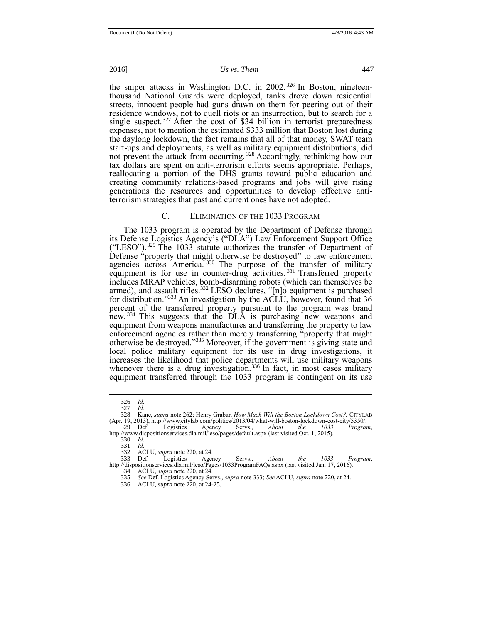the sniper attacks in Washington D.C. in 2002.<sup>326</sup> In Boston, nineteenthousand National Guards were deployed, tanks drove down residential streets, innocent people had guns drawn on them for peering out of their residence windows, not to quell riots or an insurrection, but to search for a single suspect.<sup>327</sup> After the cost of \$34 billion in terrorist preparedness expenses, not to mention the estimated \$333 million that Boston lost during the daylong lockdown, the fact remains that all of that money, SWAT team start-ups and deployments, as well as military equipment distributions, did not prevent the attack from occurring.<sup>328</sup> Accordingly, rethinking how our tax dollars are spent on anti-terrorism efforts seems appropriate. Perhaps, reallocating a portion of the DHS grants toward public education and creating community relations-based programs and jobs will give rising generations the resources and opportunities to develop effective antiterrorism strategies that past and current ones have not adopted.

#### <span id="page-32-0"></span>C. ELIMINATION OF THE 1033 PROGRAM

The 1033 program is operated by the Department of Defense through its Defense Logistics Agency's ("DLA") Law Enforcement Support Office ("LESO").<sup>329</sup> The 1033 statute authorizes the transfer of Department of Defense "property that might otherwise be destroyed" to law enforcement agencies across America.<sup>330</sup> The purpose of the transfer of military equipment is for use in counter-drug activities.<sup>331</sup> Transferred property includes MRAP vehicles, bomb-disarming robots (which can themselves be armed), and assault rifles.<sup>332</sup> LESO declares, "[n]o equipment is purchased for distribution." <sup>333</sup> An investigation by the ACLU, however, found that 36 percent of the transferred property pursuant to the program was brand new.<sup>334</sup> This suggests that the DLA is purchasing new weapons and equipment from weapons manufactures and transferring the property to law enforcement agencies rather than merely transferring "property that might otherwise be destroyed." <sup>335</sup> Moreover, if the government is giving state and local police military equipment for its use in drug investigations, it increases the likelihood that police departments will use military weapons whenever there is a drug investigation.<sup>336</sup> In fact, in most cases military equipment transferred through the 1033 program is contingent on its use

- 335 *See* Def. Logistics Agency Servs., *supra* not[e 333;](#page-32-0) *See* ACLU, *supra* not[e 220,](#page-20-0) at 24.
- 336 ACLU, *supra* not[e 220,](#page-20-0) at 24-25.

<sup>326</sup> *Id.* 327 *Id.*

<sup>328</sup> Kane, *supra* not[e 262;](#page-24-0) Henry Grabar, *How Much Will the Boston Lockdown Cost?,* CITYLAB (Apr. 19, 2013), http://www.citylab.com/politics/2013/04/what-will-boston-lockdown-cost-city/5350/. 329 Def. Logistics Agency Servs., *About the 1033 Program*,

<sup>1329</sup> Def. Logistics Agency Servs., *About the 1033*<br>http://www.dispositionservices.dla.mil/leso/pages/default.aspx (last visited Oct. 1, 2015).

<sup>330</sup> *Id.*

<sup>331</sup> *Id.*

<sup>332</sup> ACLU, *supra* not[e 220,](#page-20-0) at 24.

<sup>333</sup> Def. Logistics Agency Servs., *About the 1033 Program*, http://dispositionservices.dla.mil/leso/Pages/1033ProgramFAQs.aspx (last visited Jan. 17, 2016). 334 ACLU, *supra* not[e 220,](#page-20-0) at 24.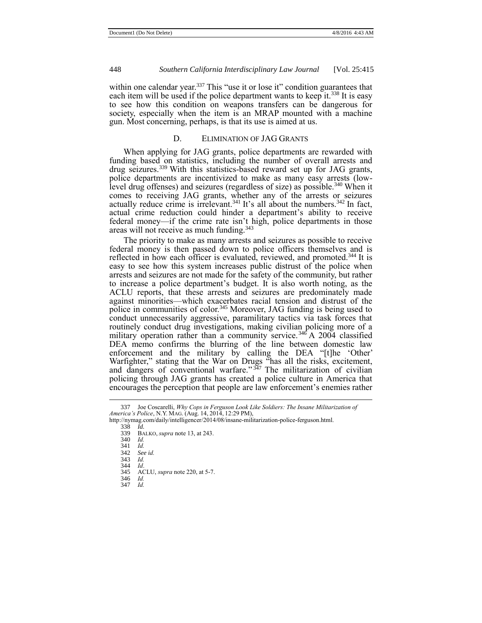within one calendar year.<sup>337</sup> This "use it or lose it" condition guarantees that each item will be used if the police department wants to keep it.<sup>338</sup> It is easy to see how this condition on weapons transfers can be dangerous for society, especially when the item is an MRAP mounted with a machine gun. Most concerning, perhaps, is that its use is aimed at us.

# D. ELIMINATION OF JAG GRANTS

When applying for JAG grants, police departments are rewarded with funding based on statistics, including the number of overall arrests and drug seizures.<sup>339</sup> With this statistics-based reward set up for JAG grants, police departments are incentivized to make as many easy arrests (lowlevel drug offenses) and seizures (regardless of size) as possible.<sup>340</sup> When it comes to receiving JAG grants, whether any of the arrests or seizures actually reduce crime is irrelevant.<sup>341</sup> It's all about the numbers.<sup>342</sup> In fact, actual crime reduction could hinder a department's ability to receive federal money—if the crime rate isn't high, police departments in those areas will not receive as much funding.<sup>343</sup>

The priority to make as many arrests and seizures as possible to receive federal money is then passed down to police officers themselves and is reflected in how each officer is evaluated, reviewed, and promoted.<sup>344</sup> It is easy to see how this system increases public distrust of the police when arrests and seizures are not made for the safety of the community, but rather to increase a police department's budget. It is also worth noting, as the ACLU reports, that these arrests and seizures are predominately made against minorities—which exacerbates racial tension and distrust of the police in communities of color.<sup>345</sup> Moreover, JAG funding is being used to conduct unnecessarily aggressive, paramilitary tactics via task forces that routinely conduct drug investigations, making civilian policing more of a military operation rather than a community service.<sup>346</sup> A 2004 classified DEA memo confirms the blurring of the line between domestic law enforcement and the military by calling the DEA "[t]he 'Other' Warfighter," stating that the War on Drugs "has all the risks, excitement, and dangers of conventional warfare."<sup>347</sup> The militarization of civilian policing through JAG grants has created a police culture in America that encourages the perception that people are law enforcement's enemies rather

338 *Id.*

<sup>337</sup> Joe Coscarelli, *Why Cops in Ferguson Look Like Soldiers: The Insane Militarization of America's Police*, N.Y. MAG. (Aug. 14, 2014, 12:29 PM),

http://nymag.com/daily/intelligencer/2014/08/insane-militarization-police-ferguson.html.

<sup>339</sup> BALKO, *supra* not[e 13,](#page-2-0) at 243.

<sup>340</sup> *Id.*

<sup>341</sup> *Id.* 342 *See id.*

<sup>343</sup> *Id.*

<sup>344</sup> *Id*.

<sup>345</sup> ACLU, *supra* not[e 220,](#page-20-0) at 5-7.

<sup>346</sup> *Id.* 347 *Id.*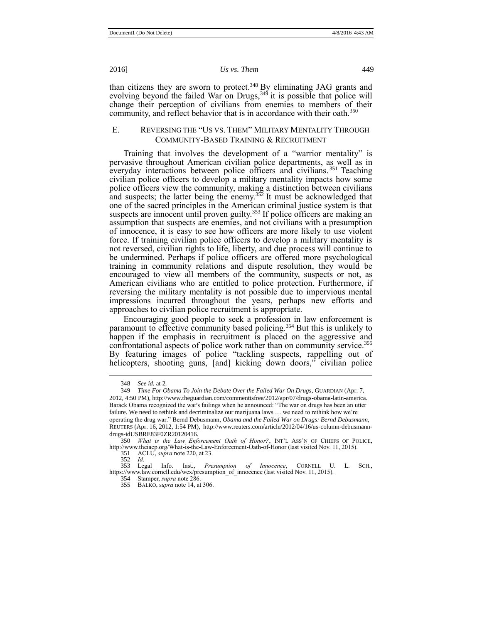than citizens they are sworn to protect.<sup>348</sup> By eliminating JAG grants and evolving beyond the failed War on Drugs,  $349$  it is possible that police will change their perception of civilians from enemies to members of their community, and reflect behavior that is in accordance with their oath.<sup>350</sup>

# E. REVERSING THE "US VS. THEM" MILITARY MENTALITY THROUGH COMMUNITY-BASED TRAINING & RECRUITMENT

Training that involves the development of a "warrior mentality" is pervasive throughout American civilian police departments, as well as in everyday interactions between police officers and civilians.<sup>351</sup> Teaching civilian police officers to develop a military mentality impacts how some police officers view the community, making a distinction between civilians and suspects; the latter being the enemy.<sup>352</sup> It must be acknowledged that one of the sacred principles in the American criminal justice system is that suspects are innocent until proven guilty.<sup>353</sup> If police officers are making an assumption that suspects are enemies, and not civilians with a presumption of innocence, it is easy to see how officers are more likely to use violent force. If training civilian police officers to develop a military mentality is not reversed, civilian rights to life, liberty, and due process will continue to be undermined. Perhaps if police officers are offered more psychological training in community relations and dispute resolution, they would be encouraged to view all members of the community, suspects or not, as American civilians who are entitled to police protection. Furthermore, if reversing the military mentality is not possible due to impervious mental impressions incurred throughout the years, perhaps new efforts and approaches to civilian police recruitment is appropriate.

Encouraging good people to seek a profession in law enforcement is paramount to effective community based policing.<sup>354</sup> But this is unlikely to happen if the emphasis in recruitment is placed on the aggressive and confrontational aspects of police work rather than on community service.<sup>355</sup> By featuring images of police "tackling suspects, rappelling out of helicopters, shooting guns, [and] kicking down doors," civilian police

<sup>348</sup> *See id.* at 2*.* 

<sup>349</sup> *Time For Obama To Join the Debate Over the Failed War On Drugs*, GUARDIAN (Apr. 7, 2012, 4:50 PM), http://www.theguardian.com/commentisfree/2012/apr/07/drugs-obama-latin-america. Barack Obama recognized the war's failings when he announced: "The war on drugs has been an utter failure. We need to rethink and decriminalize our marijuana laws … we need to rethink how we're operating the drug war." Bernd Debusmann, *Obama and the Failed War on Drugs: Bernd Debusmann*, REUTERS (Apr. 16, 2012, 1:54 PM), http://www.reuters.com/article/2012/04/16/us-column-debusmanndrugs-idUSBRE83F0ZR20120416.

<sup>350</sup> *What is the Law Enforcement Oath of Honor?*, INT'L ASS'N OF CHIEFS OF POLICE, http://www.theiacp.org/What-is-the-Law-Enforcement-Oath-of-Honor (last visited Nov. 11, 2015).

<sup>351</sup> ACLU, *supra* not[e 220,](#page-20-0) at 23.

<sup>352</sup> *Id.*  Info. Inst., *Presumption of Innocence*, CORNELL U. L. SCH., https://www.law.cornell.edu/wex/presumption\_of\_innocence (last visited Nov. 11, 2015).

<sup>354</sup> Stamper, *supra* not[e 286.](#page-27-1)  355 BALKO, *supra* note 14, at 306.